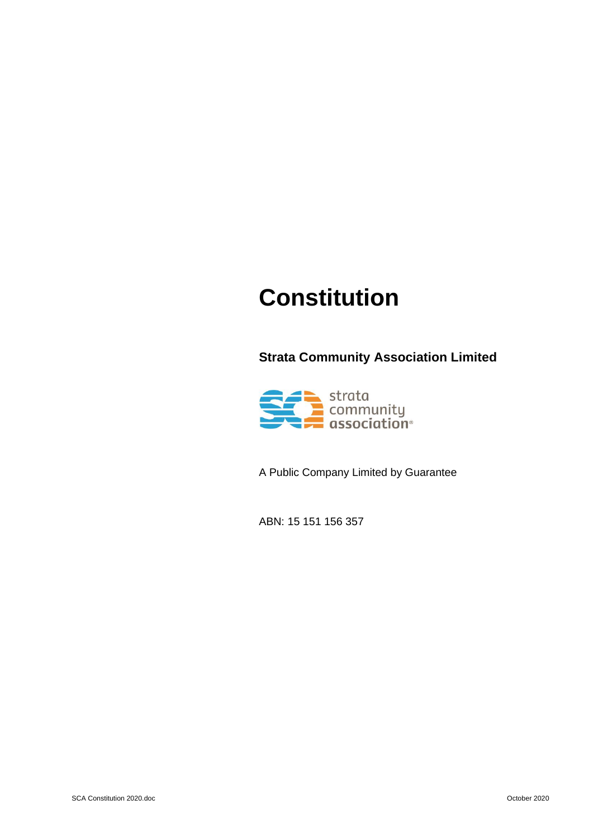# **Constitution**

**Strata Community Association Limited** 



A Public Company Limited by Guarantee

ABN: 15 151 156 357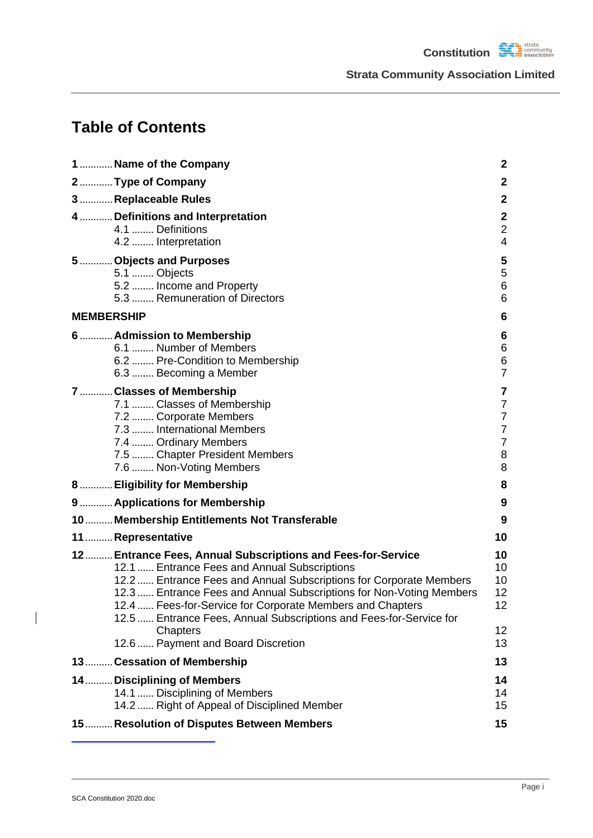**Constitution SA** *strata community* **Strata Community Association Limited**

## **Table of Contents**

| 1  Name of the Company                                                                                                                                                                                                                                                                                                                                                                                                                        | $\mathbf{2}$                                                                        |
|-----------------------------------------------------------------------------------------------------------------------------------------------------------------------------------------------------------------------------------------------------------------------------------------------------------------------------------------------------------------------------------------------------------------------------------------------|-------------------------------------------------------------------------------------|
| 2  Type of Company                                                                                                                                                                                                                                                                                                                                                                                                                            | $\mathbf{2}$                                                                        |
| 3  Replaceable Rules                                                                                                                                                                                                                                                                                                                                                                                                                          | $\mathbf{2}$                                                                        |
| 4  Definitions and Interpretation<br>4.1  Definitions<br>4.2  Interpretation                                                                                                                                                                                                                                                                                                                                                                  | $\mathbf{2}$<br>$\overline{2}$<br>$\overline{4}$                                    |
| 5  Objects and Purposes<br>5.1  Objects<br>5.2  Income and Property<br>5.3  Remuneration of Directors                                                                                                                                                                                                                                                                                                                                         | 5<br>5<br>6<br>6                                                                    |
| <b>MEMBERSHIP</b>                                                                                                                                                                                                                                                                                                                                                                                                                             | 6                                                                                   |
| 6  Admission to Membership<br>6.1  Number of Members<br>6.2  Pre-Condition to Membership<br>6.3  Becoming a Member                                                                                                                                                                                                                                                                                                                            | 6<br>6<br>6<br>$\overline{7}$                                                       |
| 7  Classes of Membership<br>7.1  Classes of Membership<br>7.2  Corporate Members<br>7.3  International Members<br>7.4  Ordinary Members<br>7.5  Chapter President Members<br>7.6  Non-Voting Members                                                                                                                                                                                                                                          | 7<br>$\overline{7}$<br>$\overline{7}$<br>$\overline{7}$<br>$\overline{7}$<br>8<br>8 |
| 8  Eligibility for Membership                                                                                                                                                                                                                                                                                                                                                                                                                 | 8                                                                                   |
| 9  Applications for Membership                                                                                                                                                                                                                                                                                                                                                                                                                | 9                                                                                   |
| 10 Membership Entitlements Not Transferable                                                                                                                                                                                                                                                                                                                                                                                                   | 9                                                                                   |
| 11  Representative                                                                                                                                                                                                                                                                                                                                                                                                                            | 10                                                                                  |
| 12 Entrance Fees, Annual Subscriptions and Fees-for-Service<br>12.1  Entrance Fees and Annual Subscriptions<br>12.2  Entrance Fees and Annual Subscriptions for Corporate Members<br>12.3  Entrance Fees and Annual Subscriptions for Non-Voting Members<br>12.4  Fees-for-Service for Corporate Members and Chapters<br>12.5  Entrance Fees, Annual Subscriptions and Fees-for-Service for<br>Chapters<br>12.6  Payment and Board Discretion | 10<br>10<br>10<br>12 <sub>2</sub><br>12 <sub>2</sub><br>12 <sup>°</sup><br>13       |
| 13 Cessation of Membership                                                                                                                                                                                                                                                                                                                                                                                                                    | 13                                                                                  |
| 14 Disciplining of Members                                                                                                                                                                                                                                                                                                                                                                                                                    | 14                                                                                  |
| 14.1  Disciplining of Members<br>14.2  Right of Appeal of Disciplined Member                                                                                                                                                                                                                                                                                                                                                                  | 14<br>15                                                                            |
| 15 Resolution of Disputes Between Members                                                                                                                                                                                                                                                                                                                                                                                                     | 15                                                                                  |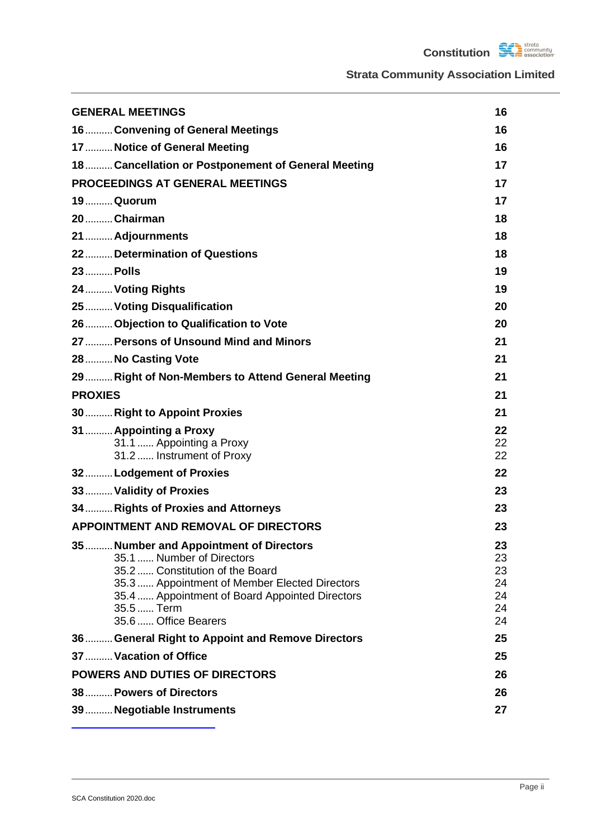**Constitution SCA community** 

| <b>GENERAL MEETINGS</b>                                                          | 16       |
|----------------------------------------------------------------------------------|----------|
| 16 Convening of General Meetings                                                 | 16       |
| 17 Notice of General Meeting                                                     | 16       |
| 18 Cancellation or Postponement of General Meeting                               | 17       |
| <b>PROCEEDINGS AT GENERAL MEETINGS</b>                                           | 17       |
| 19Quorum                                                                         | 17       |
| 20 Chairman                                                                      | 18       |
| 21  Adjournments                                                                 | 18       |
| 22Determination of Questions                                                     | 18       |
| 23  Polls                                                                        | 19       |
| 24  Voting Rights                                                                | 19       |
| 25  Voting Disqualification                                                      | 20       |
| 26  Objection to Qualification to Vote                                           | 20       |
| 27  Persons of Unsound Mind and Minors                                           | 21       |
| 28  No Casting Vote                                                              | 21       |
| 29 Right of Non-Members to Attend General Meeting                                | 21       |
| <b>PROXIES</b>                                                                   | 21       |
| 30 Right to Appoint Proxies                                                      | 21       |
| 31  Appointing a Proxy                                                           | 22       |
| 31.1  Appointing a Proxy                                                         | 22       |
| 31.2  Instrument of Proxy                                                        | 22       |
| 32Lodgement of Proxies                                                           | 22       |
| 33  Validity of Proxies                                                          | 23       |
| 34  Rights of Proxies and Attorneys                                              | 23       |
| <b>APPOINTMENT AND REMOVAL OF DIRECTORS</b>                                      | 23       |
| 35 Number and Appointment of Directors                                           | 23       |
| 35.1  Number of Directors                                                        | 23       |
| 35.2  Constitution of the Board<br>35.3  Appointment of Member Elected Directors | 23<br>24 |
| 35.4  Appointment of Board Appointed Directors                                   | 24       |
| 35.5  Term                                                                       | 24       |
| 35.6  Office Bearers                                                             | 24       |
| 36 General Right to Appoint and Remove Directors                                 | 25       |
| 37  Vacation of Office                                                           | 25       |
| <b>POWERS AND DUTIES OF DIRECTORS</b>                                            | 26       |
| 38 Powers of Directors                                                           | 26       |
| 39  Negotiable Instruments                                                       | 27       |
|                                                                                  |          |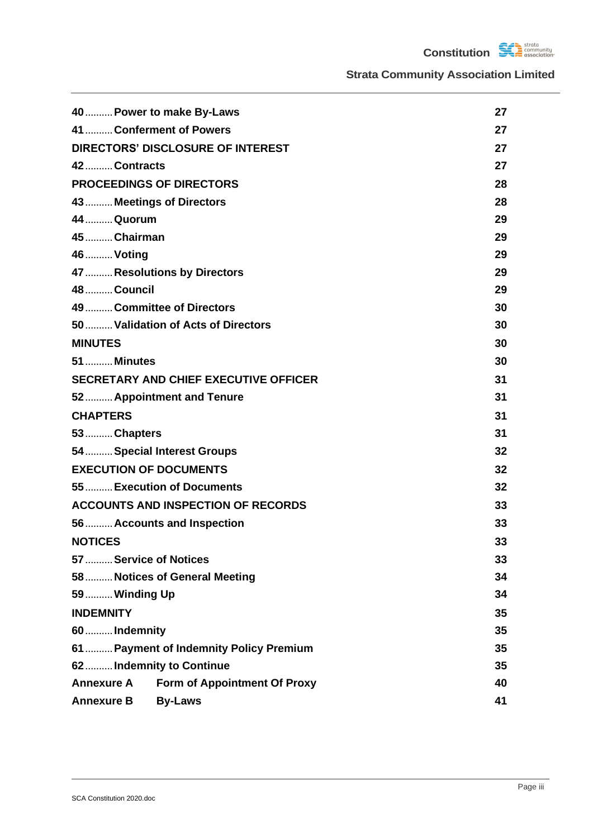**Constitution SCA community** 

|                               | 40 Power to make By-Laws                     | 27 |
|-------------------------------|----------------------------------------------|----|
| 41  Conferment of Powers      |                                              | 27 |
|                               | <b>DIRECTORS' DISCLOSURE OF INTEREST</b>     | 27 |
| 42 Contracts                  |                                              | 27 |
|                               | <b>PROCEEDINGS OF DIRECTORS</b>              | 28 |
| 43  Meetings of Directors     |                                              | 28 |
| 44  Quorum                    |                                              | 29 |
| 45  Chairman                  |                                              | 29 |
| 46  Voting                    |                                              | 29 |
|                               | 47  Resolutions by Directors                 | 29 |
| <b>48  Council</b>            |                                              | 29 |
|                               | 49Committee of Directors                     | 30 |
|                               | 50  Validation of Acts of Directors          | 30 |
| <b>MINUTES</b>                |                                              | 30 |
| <b>51  Minutes</b>            |                                              | 30 |
|                               | <b>SECRETARY AND CHIEF EXECUTIVE OFFICER</b> | 31 |
|                               | 52 Appointment and Tenure                    | 31 |
| <b>CHAPTERS</b>               |                                              | 31 |
| 53  Chapters                  |                                              | 31 |
|                               | 54  Special Interest Groups                  | 32 |
| <b>EXECUTION OF DOCUMENTS</b> |                                              | 32 |
|                               | 55 Execution of Documents                    | 32 |
|                               | <b>ACCOUNTS AND INSPECTION OF RECORDS</b>    | 33 |
|                               | 56 Accounts and Inspection                   | 33 |
| <b>NOTICES</b>                |                                              | 33 |
| 57  Service of Notices        |                                              | 33 |
|                               | 58 Notices of General Meeting                | 34 |
| 59 Winding Up                 |                                              | 34 |
| <b>INDEMNITY</b>              |                                              | 35 |
| 60  Indemnity                 |                                              | 35 |
|                               | 61  Payment of Indemnity Policy Premium      | 35 |
| 62 Indemnity to Continue      |                                              | 35 |
| <b>Annexure A</b>             | <b>Form of Appointment Of Proxy</b>          | 40 |
| <b>Annexure B</b>             | <b>By-Laws</b>                               | 41 |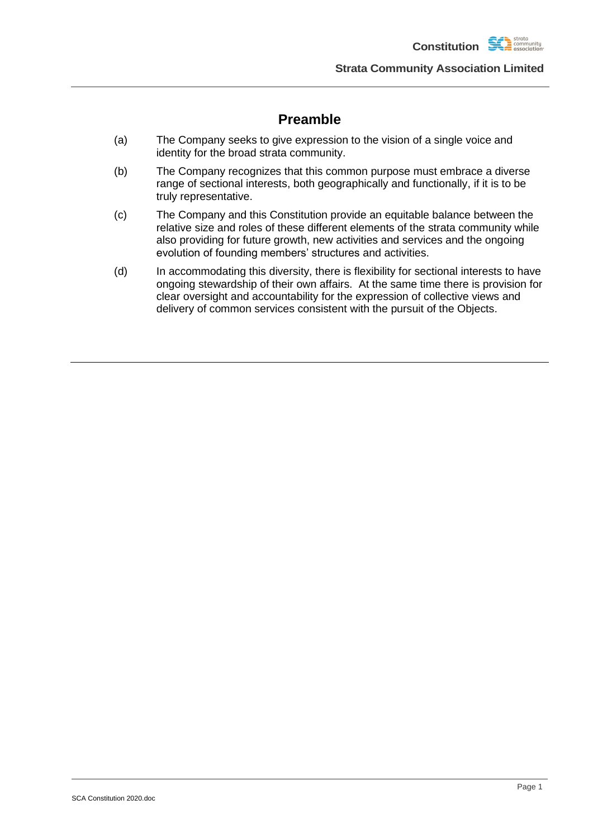**Constitution** 

**Strata Community Association Limited**

## **Preamble**

- (a) The Company seeks to give expression to the vision of a single voice and identity for the broad strata community.
- (b) The Company recognizes that this common purpose must embrace a diverse range of sectional interests, both geographically and functionally, if it is to be truly representative.
- (c) The Company and this Constitution provide an equitable balance between the relative size and roles of these different elements of the strata community while also providing for future growth, new activities and services and the ongoing evolution of founding members' structures and activities.
- (d) In accommodating this diversity, there is flexibility for sectional interests to have ongoing stewardship of their own affairs. At the same time there is provision for clear oversight and accountability for the expression of collective views and delivery of common services consistent with the pursuit of the Objects.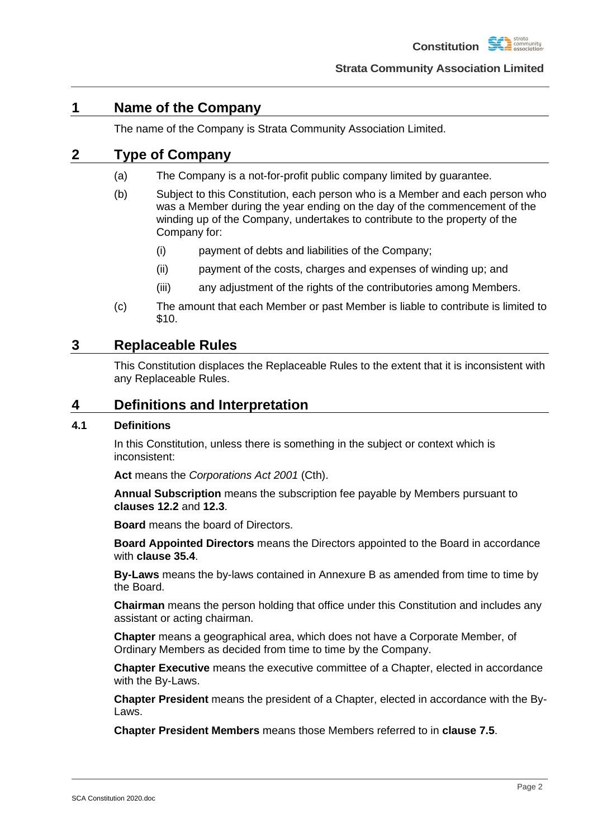## <span id="page-5-0"></span>**1 Name of the Company**

The name of the Company is Strata Community Association Limited.

## <span id="page-5-6"></span><span id="page-5-1"></span>**2 Type of Company**

- (a) The Company is a not-for-profit public company limited by guarantee.
- (b) Subject to this Constitution, each person who is a Member and each person who was a Member during the year ending on the day of the commencement of the winding up of the Company, undertakes to contribute to the property of the Company for:
	- (i) payment of debts and liabilities of the Company;
	- (ii) payment of the costs, charges and expenses of winding up; and
	- (iii) any adjustment of the rights of the contributories among Members.
- (c) The amount that each Member or past Member is liable to contribute is limited to \$10.

## <span id="page-5-5"></span><span id="page-5-2"></span>**3 Replaceable Rules**

This Constitution displaces the Replaceable Rules to the extent that it is inconsistent with any Replaceable Rules.

## <span id="page-5-3"></span>**4 Definitions and Interpretation**

## <span id="page-5-4"></span>**4.1 Definitions**

In this Constitution, unless there is something in the subject or context which is inconsistent:

**Act** means the *Corporations Act 2001* (Cth).

**Annual Subscription** means the subscription fee payable by Members pursuant to **clauses [12.2](#page-13-3)** and **[12.3](#page-15-0)**.

**Board** means the board of Directors.

**Board Appointed Directors** means the Directors appointed to the Board in accordance with **clause [35.4](#page-27-1)**.

**By-Laws** means the by-laws contained in Annexure B as amended from time to time by the Board.

**Chairman** means the person holding that office under this Constitution and includes any assistant or acting chairman.

**Chapter** means a geographical area, which does not have a Corporate Member, of Ordinary Members as decided from time to time by the Company.

**Chapter Executive** means the executive committee of a Chapter, elected in accordance with the By-Laws.

**Chapter President** means the president of a Chapter, elected in accordance with the By-Laws.

**Chapter President Members** means those Members referred to in **clause [7.5](#page-11-0)**.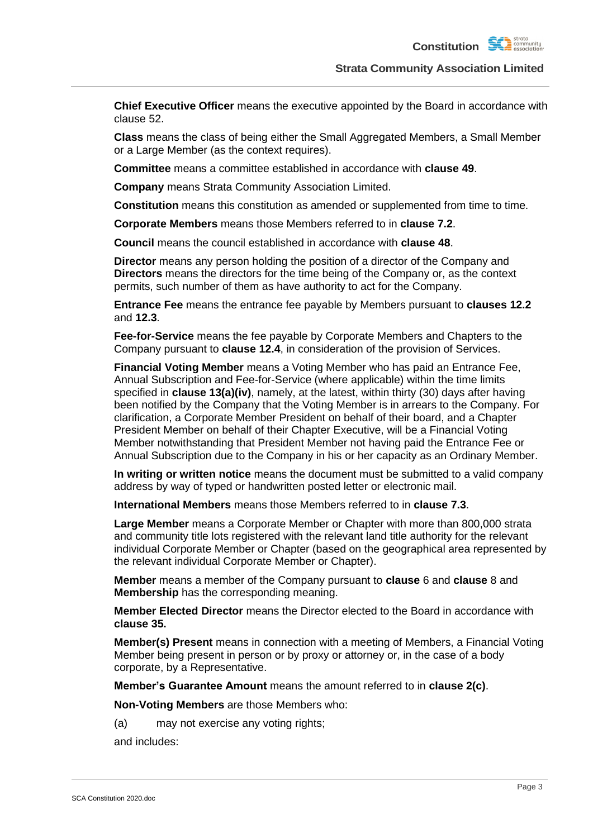**Chief Executive Officer** means the executive appointed by the Board in accordance with clause 52.

**Class** means the class of being either the Small Aggregated Members, a Small Member or a Large Member (as the context requires).

**Committee** means a committee established in accordance with **clause [49](#page-33-0)**.

**Company** means Strata Community Association Limited.

**Constitution** means this constitution as amended or supplemented from time to time.

**Corporate Members** means those Members referred to in **clause [7.2](#page-10-3)**.

**Council** means the council established in accordance with **clause [48](#page-32-4)**.

**Director** means any person holding the position of a director of the Company and **Directors** means the directors for the time being of the Company or, as the context permits, such number of them as have authority to act for the Company.

**Entrance Fee** means the entrance fee payable by Members pursuant to **clauses [12.2](#page-13-3)** and **[12.3](#page-15-0)**.

**Fee-for-Service** means the fee payable by Corporate Members and Chapters to the Company pursuant to **clause [12.4](#page-15-1)**, in consideration of the provision of Services.

**Financial Voting Member** means a Voting Member who has paid an Entrance Fee, Annual Subscription and Fee-for-Service (where applicable) within the time limits specified in **clause [13\(a\)\(iv\)](#page-16-2)**, namely, at the latest, within thirty (30) days after having been notified by the Company that the Voting Member is in arrears to the Company. For clarification, a Corporate Member President on behalf of their board, and a Chapter President Member on behalf of their Chapter Executive, will be a Financial Voting Member notwithstanding that President Member not having paid the Entrance Fee or Annual Subscription due to the Company in his or her capacity as an Ordinary Member.

**In writing or written notice** means the document must be submitted to a valid company address by way of typed or handwritten posted letter or electronic mail.

**International Members** means those Members referred to in **clause [7.3](#page-10-4)**.

**Large Member** means a Corporate Member or Chapter with more than 800,000 strata and community title lots registered with the relevant land title authority for the relevant individual Corporate Member or Chapter (based on the geographical area represented by the relevant individual Corporate Member or Chapter).

**Member** means a member of the Company pursuant to **clause** [6](#page-9-3) and **clause** [8](#page-11-2) and **Membership** has the corresponding meaning.

**Member Elected Director** means the Director elected to the Board in accordance with **clause 35.**

**Member(s) Present** means in connection with a meeting of Members, a Financial Voting Member being present in person or by proxy or attorney or, in the case of a body corporate, by a Representative.

**Member's Guarantee Amount** means the amount referred to in **clause [2\(c\)](#page-5-5)**.

**Non-Voting Members** are those Members who:

(a) may not exercise any voting rights;

and includes: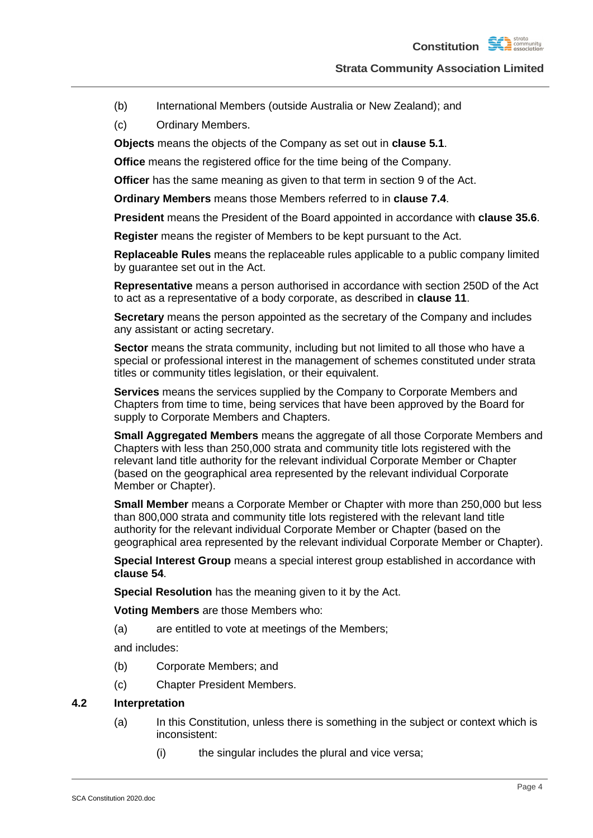- (b) International Members (outside Australia or New Zealand); and
- (c) Ordinary Members.

**Objects** means the objects of the Company as set out in **clause [5.1](#page-8-1)**.

**Office** means the registered office for the time being of the Company.

**Officer** has the same meaning as given to that term in section 9 of the Act.

**Ordinary Members** means those Members referred to in **clause [7.4](#page-10-5)**.

**President** means the President of the Board appointed in accordance with **clause [35.6](#page-27-3)**.

**Register** means the register of Members to be kept pursuant to the Act.

**Replaceable Rules** means the replaceable rules applicable to a public company limited by guarantee set out in the Act.

**Representative** means a person authorised in accordance with section 250D of the Act to act as a representative of a body corporate, as described in **clause [11](#page-13-0)**.

**Secretary** means the person appointed as the secretary of the Company and includes any assistant or acting secretary.

**Sector** means the strata community, including but not limited to all those who have a special or professional interest in the management of schemes constituted under strata titles or community titles legislation, or their equivalent.

**Services** means the services supplied by the Company to Corporate Members and Chapters from time to time, being services that have been approved by the Board for supply to Corporate Members and Chapters.

**Small Aggregated Members** means the aggregate of all those Corporate Members and Chapters with less than 250,000 strata and community title lots registered with the relevant land title authority for the relevant individual Corporate Member or Chapter (based on the geographical area represented by the relevant individual Corporate Member or Chapter).

**Small Member** means a Corporate Member or Chapter with more than 250,000 but less than 800,000 strata and community title lots registered with the relevant land title authority for the relevant individual Corporate Member or Chapter (based on the geographical area represented by the relevant individual Corporate Member or Chapter).

**Special Interest Group** means a special interest group established in accordance with **clause [54](#page-35-0)**.

**Special Resolution** has the meaning given to it by the Act.

**Voting Members** are those Members who:

(a) are entitled to vote at meetings of the Members;

and includes:

- (b) Corporate Members; and
- (c) Chapter President Members.

#### <span id="page-7-0"></span>**4.2 Interpretation**

- (a) In this Constitution, unless there is something in the subject or context which is inconsistent:
	- (i) the singular includes the plural and vice versa;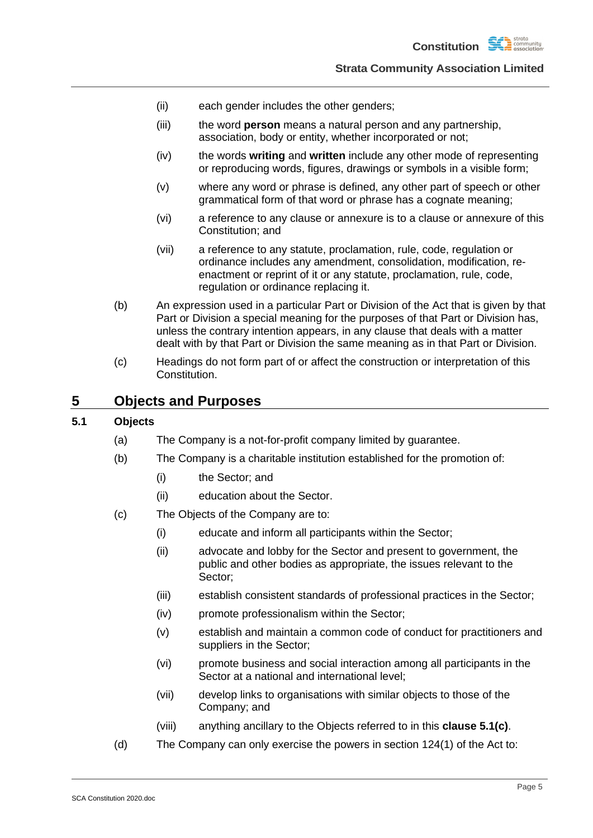- (ii) each gender includes the other genders;
- (iii) the word **person** means a natural person and any partnership, association, body or entity, whether incorporated or not;
- (iv) the words **writing** and **written** include any other mode of representing or reproducing words, figures, drawings or symbols in a visible form;
- (v) where any word or phrase is defined, any other part of speech or other grammatical form of that word or phrase has a cognate meaning;
- (vi) a reference to any clause or annexure is to a clause or annexure of this Constitution; and
- (vii) a reference to any statute, proclamation, rule, code, regulation or ordinance includes any amendment, consolidation, modification, reenactment or reprint of it or any statute, proclamation, rule, code, regulation or ordinance replacing it.
- (b) An expression used in a particular Part or Division of the Act that is given by that Part or Division a special meaning for the purposes of that Part or Division has, unless the contrary intention appears, in any clause that deals with a matter dealt with by that Part or Division the same meaning as in that Part or Division.
- (c) Headings do not form part of or affect the construction or interpretation of this Constitution.

### <span id="page-8-0"></span>**5 Objects and Purposes**

## <span id="page-8-1"></span>**5.1 Objects**

- (a) The Company is a not-for-profit company limited by guarantee.
- (b) The Company is a charitable institution established for the promotion of:
	- (i) the Sector; and
	- (ii) education about the Sector.
- <span id="page-8-2"></span>(c) The Objects of the Company are to:
	- (i) educate and inform all participants within the Sector;
	- (ii) advocate and lobby for the Sector and present to government, the public and other bodies as appropriate, the issues relevant to the Sector;
	- (iii) establish consistent standards of professional practices in the Sector;
	- (iv) promote professionalism within the Sector;
	- (v) establish and maintain a common code of conduct for practitioners and suppliers in the Sector;
	- (vi) promote business and social interaction among all participants in the Sector at a national and international level;
	- (vii) develop links to organisations with similar objects to those of the Company; and
	- (viii) anything ancillary to the Objects referred to in this **clause [5.1\(c\)](#page-8-2)**.
- (d) The Company can only exercise the powers in section 124(1) of the Act to: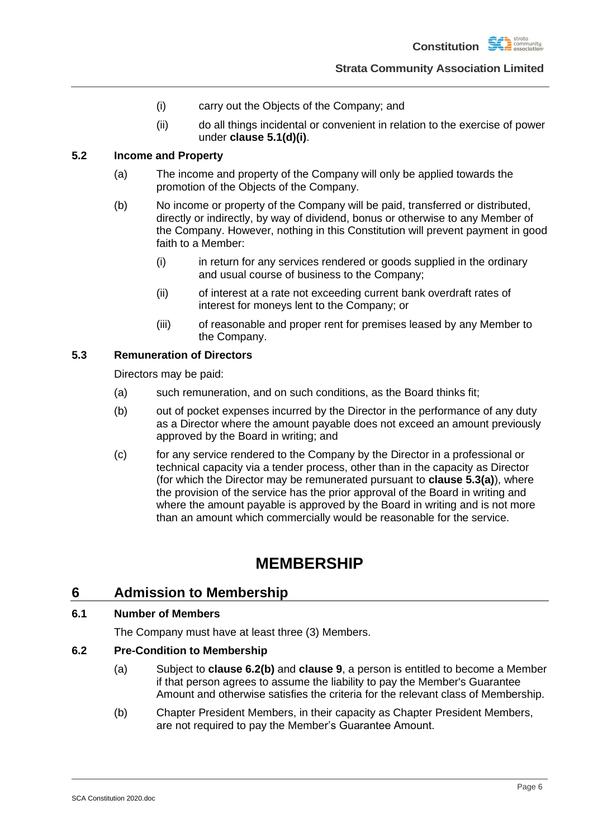- (i) carry out the Objects of the Company; and
- (ii) do all things incidental or convenient in relation to the exercise of power under **clause [5.1\(d\)\(i\)](#page-9-6)**.

### <span id="page-9-9"></span><span id="page-9-6"></span><span id="page-9-0"></span>**5.2 Income and Property**

- (a) The income and property of the Company will only be applied towards the promotion of the Objects of the Company.
- (b) No income or property of the Company will be paid, transferred or distributed, directly or indirectly, by way of dividend, bonus or otherwise to any Member of the Company. However, nothing in this Constitution will prevent payment in good faith to a Member:
	- (i) in return for any services rendered or goods supplied in the ordinary and usual course of business to the Company;
	- (ii) of interest at a rate not exceeding current bank overdraft rates of interest for moneys lent to the Company; or
	- (iii) of reasonable and proper rent for premises leased by any Member to the Company.

#### <span id="page-9-7"></span><span id="page-9-1"></span>**5.3 Remuneration of Directors**

Directors may be paid:

- (a) such remuneration, and on such conditions, as the Board thinks fit;
- (b) out of pocket expenses incurred by the Director in the performance of any duty as a Director where the amount payable does not exceed an amount previously approved by the Board in writing; and
- (c) for any service rendered to the Company by the Director in a professional or technical capacity via a tender process, other than in the capacity as Director (for which the Director may be remunerated pursuant to **clause [5.3\(a\)](#page-9-7)**), where the provision of the service has the prior approval of the Board in writing and where the amount payable is approved by the Board in writing and is not more than an amount which commercially would be reasonable for the service.

## **MEMBERSHIP**

## <span id="page-9-3"></span><span id="page-9-2"></span>**6 Admission to Membership**

### <span id="page-9-4"></span>**6.1 Number of Members**

The Company must have at least three (3) Members.

### <span id="page-9-5"></span>**6.2 Pre-Condition to Membership**

- (a) Subject to **clause [6.2\(b\)](#page-9-8)** and **clause [9](#page-12-0)**, a person is entitled to become a Member if that person agrees to assume the liability to pay the Member's Guarantee Amount and otherwise satisfies the criteria for the relevant class of Membership.
- <span id="page-9-8"></span>(b) Chapter President Members, in their capacity as Chapter President Members, are not required to pay the Member's Guarantee Amount.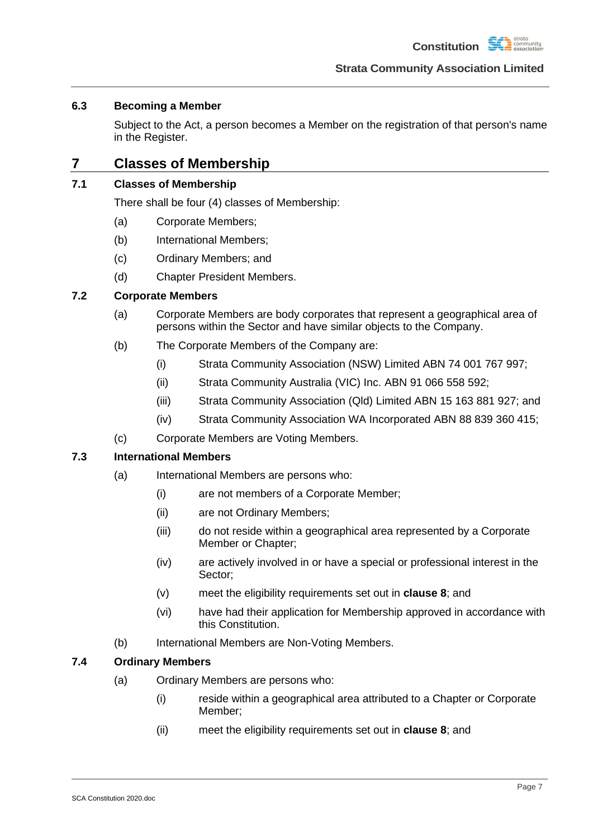### <span id="page-10-0"></span>**6.3 Becoming a Member**

Subject to the Act, a person becomes a Member on the registration of that person's name in the Register.

## <span id="page-10-1"></span>**7 Classes of Membership**

## <span id="page-10-2"></span>**7.1 Classes of Membership**

There shall be four (4) classes of Membership:

- (a) Corporate Members;
- (b) International Members;
- (c) Ordinary Members; and
- (d) Chapter President Members.

### <span id="page-10-3"></span>**7.2 Corporate Members**

- (a) Corporate Members are body corporates that represent a geographical area of persons within the Sector and have similar objects to the Company.
- (b) The Corporate Members of the Company are:
	- (i) Strata Community Association (NSW) Limited ABN 74 001 767 997;
	- (ii) Strata Community Australia (VIC) Inc. ABN 91 066 558 592;
	- (iii) Strata Community Association (Qld) Limited ABN 15 163 881 927; and
	- (iv) Strata Community Association WA Incorporated ABN 88 839 360 415;
- (c) Corporate Members are Voting Members.

### <span id="page-10-4"></span>**7.3 International Members**

- (a) International Members are persons who:
	- (i) are not members of a Corporate Member;
	- (ii) are not Ordinary Members;
	- (iii) do not reside within a geographical area represented by a Corporate Member or Chapter;
	- (iv) are actively involved in or have a special or professional interest in the Sector;
	- (v) meet the eligibility requirements set out in **clause [8](#page-11-2)**; and
	- (vi) have had their application for Membership approved in accordance with this Constitution.
- (b) International Members are Non-Voting Members.

### <span id="page-10-5"></span>**7.4 Ordinary Members**

- (a) Ordinary Members are persons who:
	- (i) reside within a geographical area attributed to a Chapter or Corporate Member;
	- (ii) meet the eligibility requirements set out in **clause [8](#page-11-2)**; and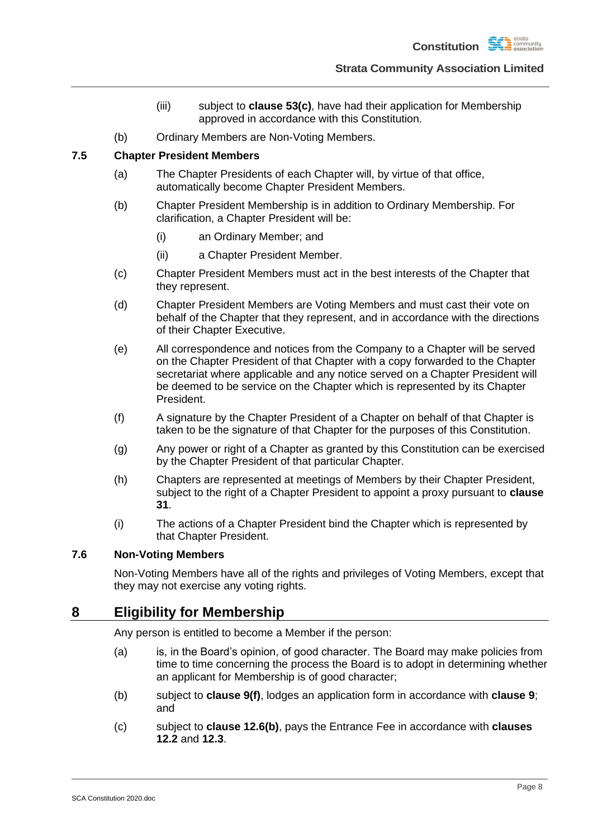

- (iii) subject to **clause [53\(c\)](#page-34-4)**, have had their application for Membership approved in accordance with this Constitution.
- (b) Ordinary Members are Non-Voting Members.

### <span id="page-11-0"></span>**7.5 Chapter President Members**

- (a) The Chapter Presidents of each Chapter will, by virtue of that office, automatically become Chapter President Members.
- (b) Chapter President Membership is in addition to Ordinary Membership. For clarification, a Chapter President will be:
	- (i) an Ordinary Member; and
	- (ii) a Chapter President Member.
- (c) Chapter President Members must act in the best interests of the Chapter that they represent.
- (d) Chapter President Members are Voting Members and must cast their vote on behalf of the Chapter that they represent, and in accordance with the directions of their Chapter Executive.
- (e) All correspondence and notices from the Company to a Chapter will be served on the Chapter President of that Chapter with a copy forwarded to the Chapter secretariat where applicable and any notice served on a Chapter President will be deemed to be service on the Chapter which is represented by its Chapter President.
- (f) A signature by the Chapter President of a Chapter on behalf of that Chapter is taken to be the signature of that Chapter for the purposes of this Constitution.
- (g) Any power or right of a Chapter as granted by this Constitution can be exercised by the Chapter President of that particular Chapter.
- (h) Chapters are represented at meetings of Members by their Chapter President, subject to the right of a Chapter President to appoint a proxy pursuant to **clause [31](#page-25-0)**.
- (i) The actions of a Chapter President bind the Chapter which is represented by that Chapter President.

### <span id="page-11-1"></span>**7.6 Non-Voting Members**

Non-Voting Members have all of the rights and privileges of Voting Members, except that they may not exercise any voting rights.

## <span id="page-11-2"></span>**8 Eligibility for Membership**

Any person is entitled to become a Member if the person:

- (a) is, in the Board's opinion, of good character. The Board may make policies from time to time concerning the process the Board is to adopt in determining whether an applicant for Membership is of good character;
- (b) subject to **clause [9\(f\)](#page-12-2)**, lodges an application form in accordance with **clause [9](#page-12-0)**; and
- (c) subject to **clause [12.6\(b\)](#page-16-3)**, pays the Entrance Fee in accordance with **clauses [12.2](#page-13-3)** and **[12.3](#page-15-0)**.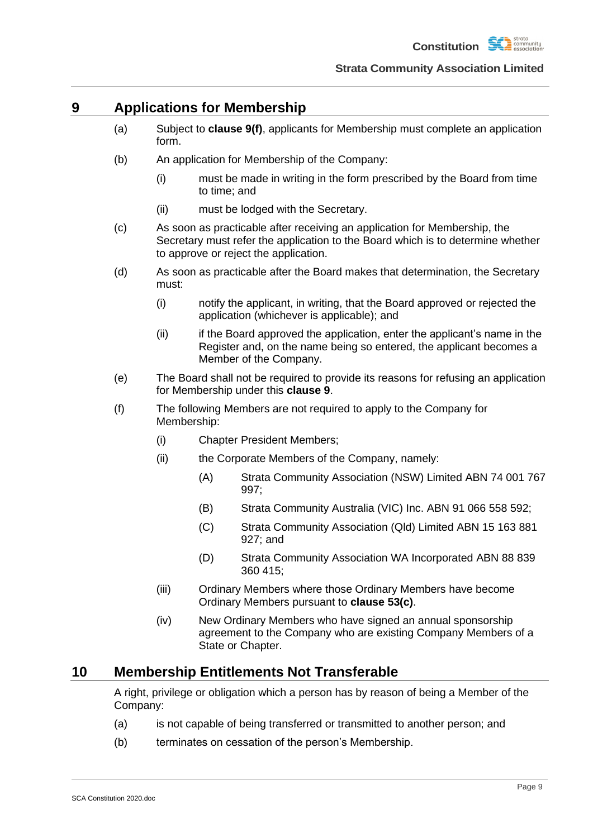

## <span id="page-12-0"></span>**9 Applications for Membership**

- (a) Subject to **clause [9\(f\)](#page-12-2)**, applicants for Membership must complete an application form.
- (b) An application for Membership of the Company:
	- (i) must be made in writing in the form prescribed by the Board from time to time; and
	- (ii) must be lodged with the Secretary.
- (c) As soon as practicable after receiving an application for Membership, the Secretary must refer the application to the Board which is to determine whether to approve or reject the application.
- (d) As soon as practicable after the Board makes that determination, the Secretary must:
	- (i) notify the applicant, in writing, that the Board approved or rejected the application (whichever is applicable); and
	- (ii) if the Board approved the application, enter the applicant's name in the Register and, on the name being so entered, the applicant becomes a Member of the Company.
- (e) The Board shall not be required to provide its reasons for refusing an application for Membership under this **clause [9](#page-12-0)**.
- <span id="page-12-2"></span>(f) The following Members are not required to apply to the Company for Membership:
	- (i) Chapter President Members;
	- (ii) the Corporate Members of the Company, namely:
		- (A) Strata Community Association (NSW) Limited ABN 74 001 767 997;
		- (B) Strata Community Australia (VIC) Inc. ABN 91 066 558 592;
		- (C) Strata Community Association (Qld) Limited ABN 15 163 881 927; and
		- (D) Strata Community Association WA Incorporated ABN 88 839 360 415;
	- (iii) Ordinary Members where those Ordinary Members have become Ordinary Members pursuant to **clause [53\(c\)](#page-34-4)**.
	- (iv) New Ordinary Members who have signed an annual sponsorship agreement to the Company who are existing Company Members of a State or Chapter.

### <span id="page-12-1"></span>**10 Membership Entitlements Not Transferable**

A right, privilege or obligation which a person has by reason of being a Member of the Company:

- (a) is not capable of being transferred or transmitted to another person; and
- (b) terminates on cessation of the person's Membership.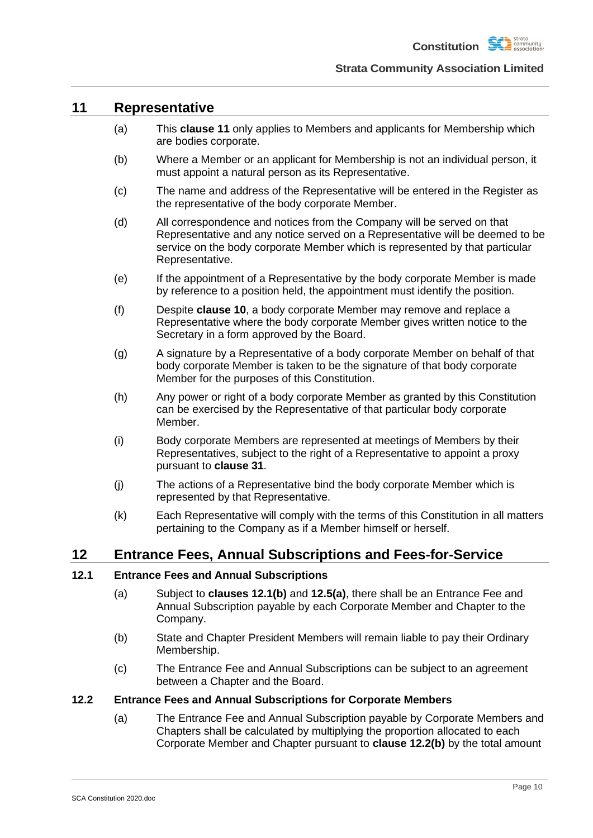

### <span id="page-13-0"></span>**11 Representative**

- (a) This **clause [11](#page-13-0)** only applies to Members and applicants for Membership which are bodies corporate.
- (b) Where a Member or an applicant for Membership is not an individual person, it must appoint a natural person as its Representative.
- (c) The name and address of the Representative will be entered in the Register as the representative of the body corporate Member.
- (d) All correspondence and notices from the Company will be served on that Representative and any notice served on a Representative will be deemed to be service on the body corporate Member which is represented by that particular Representative.
- (e) If the appointment of a Representative by the body corporate Member is made by reference to a position held, the appointment must identify the position.
- (f) Despite **clause [10](#page-12-1)**, a body corporate Member may remove and replace a Representative where the body corporate Member gives written notice to the Secretary in a form approved by the Board.
- (g) A signature by a Representative of a body corporate Member on behalf of that body corporate Member is taken to be the signature of that body corporate Member for the purposes of this Constitution.
- (h) Any power or right of a body corporate Member as granted by this Constitution can be exercised by the Representative of that particular body corporate Member.
- (i) Body corporate Members are represented at meetings of Members by their Representatives, subject to the right of a Representative to appoint a proxy pursuant to **clause [31](#page-25-0)**.
- (j) The actions of a Representative bind the body corporate Member which is represented by that Representative.
- (k) Each Representative will comply with the terms of this Constitution in all matters pertaining to the Company as if a Member himself or herself.

## <span id="page-13-1"></span>**12 Entrance Fees, Annual Subscriptions and Fees-for-Service**

### <span id="page-13-2"></span>**12.1 Entrance Fees and Annual Subscriptions**

- (a) Subject to **clauses [12.1\(b\)](#page-13-4)** and **[12.5\(a\)](#page-15-3)**, there shall be an Entrance Fee and Annual Subscription payable by each Corporate Member and Chapter to the Company.
- <span id="page-13-4"></span>(b) State and Chapter President Members will remain liable to pay their Ordinary Membership.
- (c) The Entrance Fee and Annual Subscriptions can be subject to an agreement between a Chapter and the Board.

#### <span id="page-13-3"></span>**12.2 Entrance Fees and Annual Subscriptions for Corporate Members**

(a) The Entrance Fee and Annual Subscription payable by Corporate Members and Chapters shall be calculated by multiplying the proportion allocated to each Corporate Member and Chapter pursuant to **clause [12.2\(b\)](#page-14-0)** by the total amount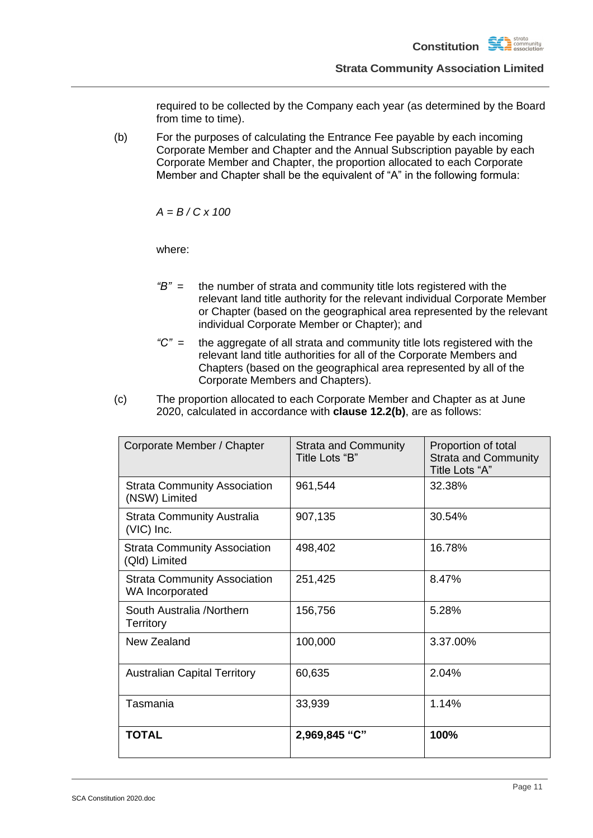required to be collected by the Company each year (as determined by the Board from time to time).

<span id="page-14-0"></span>(b) For the purposes of calculating the Entrance Fee payable by each incoming Corporate Member and Chapter and the Annual Subscription payable by each Corporate Member and Chapter, the proportion allocated to each Corporate Member and Chapter shall be the equivalent of "A" in the following formula:

*A = B / C x 100*

where:

- *"B"* = the number of strata and community title lots registered with the relevant land title authority for the relevant individual Corporate Member or Chapter (based on the geographical area represented by the relevant individual Corporate Member or Chapter); and
- *"C"* = the aggregate of all strata and community title lots registered with the relevant land title authorities for all of the Corporate Members and Chapters (based on the geographical area represented by all of the Corporate Members and Chapters).
- (c) The proportion allocated to each Corporate Member and Chapter as at June 2020, calculated in accordance with **clause [12.2\(b\)](#page-14-0)**, are as follows:

| Corporate Member / Chapter                             | <b>Strata and Community</b><br>Title Lots "B" | Proportion of total<br><b>Strata and Community</b><br>Title Lots "A" |
|--------------------------------------------------------|-----------------------------------------------|----------------------------------------------------------------------|
| <b>Strata Community Association</b><br>(NSW) Limited   | 961,544                                       | 32.38%                                                               |
| <b>Strata Community Australia</b><br>$(VIC)$ Inc.      | 907,135                                       | 30.54%                                                               |
| <b>Strata Community Association</b><br>(Qld) Limited   | 498,402                                       | 16.78%                                                               |
| <b>Strata Community Association</b><br>WA Incorporated | 251,425                                       | 8.47%                                                                |
| South Australia /Northern<br><b>Territory</b>          | 156,756                                       | 5.28%                                                                |
| New Zealand                                            | 100,000                                       | 3.37.00%                                                             |
| <b>Australian Capital Territory</b>                    | 60,635                                        | 2.04%                                                                |
| Tasmania                                               | 33,939                                        | 1.14%                                                                |
| <b>TOTAL</b>                                           | 2,969,845 "C"                                 | 100%                                                                 |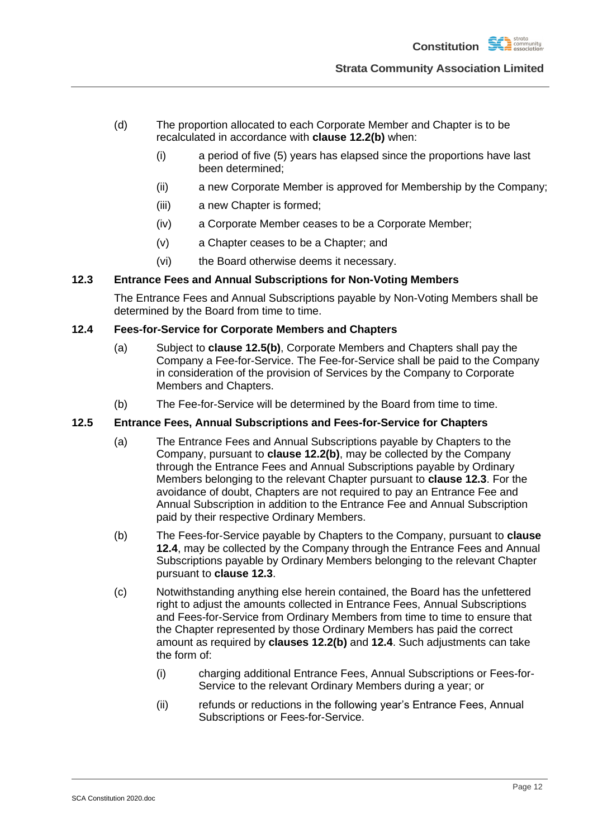- (d) The proportion allocated to each Corporate Member and Chapter is to be recalculated in accordance with **clause [12.2\(b\)](#page-14-0)** when:
	- (i) a period of five (5) years has elapsed since the proportions have last been determined;
	- (ii) a new Corporate Member is approved for Membership by the Company;
	- (iii) a new Chapter is formed;
	- (iv) a Corporate Member ceases to be a Corporate Member;
	- (v) a Chapter ceases to be a Chapter; and
	- (vi) the Board otherwise deems it necessary.

### <span id="page-15-0"></span>**12.3 Entrance Fees and Annual Subscriptions for Non-Voting Members**

The Entrance Fees and Annual Subscriptions payable by Non-Voting Members shall be determined by the Board from time to time.

### <span id="page-15-1"></span>**12.4 Fees-for-Service for Corporate Members and Chapters**

- (a) Subject to **clause [12.5\(b\)](#page-15-4)**, Corporate Members and Chapters shall pay the Company a Fee-for-Service. The Fee-for-Service shall be paid to the Company in consideration of the provision of Services by the Company to Corporate Members and Chapters.
- (b) The Fee-for-Service will be determined by the Board from time to time.

### <span id="page-15-3"></span><span id="page-15-2"></span>**12.5 Entrance Fees, Annual Subscriptions and Fees-for-Service for Chapters**

- (a) The Entrance Fees and Annual Subscriptions payable by Chapters to the Company, pursuant to **clause [12.2\(b\)](#page-14-0)**, may be collected by the Company through the Entrance Fees and Annual Subscriptions payable by Ordinary Members belonging to the relevant Chapter pursuant to **clause [12.3](#page-15-0)**. For the avoidance of doubt, Chapters are not required to pay an Entrance Fee and Annual Subscription in addition to the Entrance Fee and Annual Subscription paid by their respective Ordinary Members.
- <span id="page-15-4"></span>(b) The Fees-for-Service payable by Chapters to the Company, pursuant to **clause [12.4](#page-15-1)**, may be collected by the Company through the Entrance Fees and Annual Subscriptions payable by Ordinary Members belonging to the relevant Chapter pursuant to **clause [12.3](#page-15-0)**.
- (c) Notwithstanding anything else herein contained, the Board has the unfettered right to adjust the amounts collected in Entrance Fees, Annual Subscriptions and Fees-for-Service from Ordinary Members from time to time to ensure that the Chapter represented by those Ordinary Members has paid the correct amount as required by **clauses [12.2\(b\)](#page-14-0)** and **[12.4](#page-15-1)**. Such adjustments can take the form of:
	- (i) charging additional Entrance Fees, Annual Subscriptions or Fees-for-Service to the relevant Ordinary Members during a year; or
	- (ii) refunds or reductions in the following year's Entrance Fees, Annual Subscriptions or Fees-for-Service.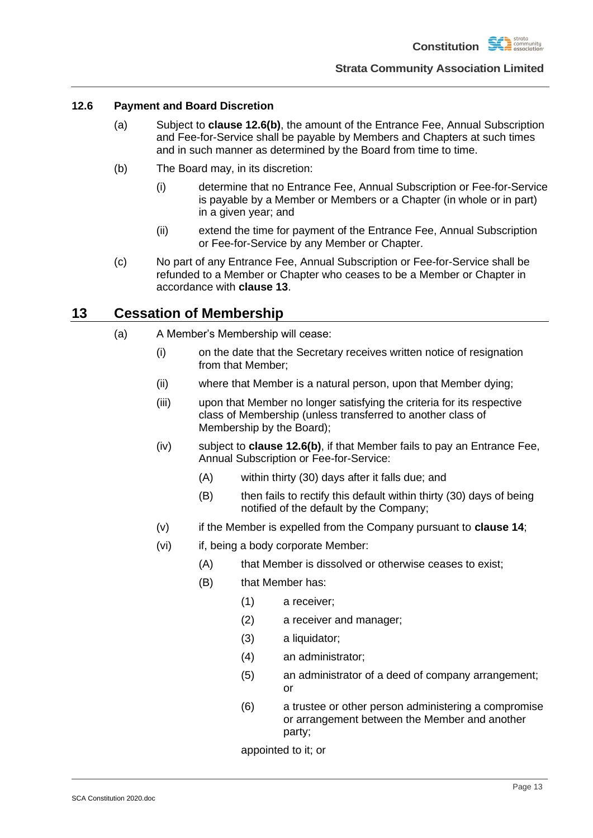

### <span id="page-16-0"></span>**12.6 Payment and Board Discretion**

- (a) Subject to **clause [12.6\(b\)](#page-16-3)**, the amount of the Entrance Fee, Annual Subscription and Fee-for-Service shall be payable by Members and Chapters at such times and in such manner as determined by the Board from time to time.
- <span id="page-16-3"></span>(b) The Board may, in its discretion:
	- (i) determine that no Entrance Fee, Annual Subscription or Fee-for-Service is payable by a Member or Members or a Chapter (in whole or in part) in a given year; and
	- (ii) extend the time for payment of the Entrance Fee, Annual Subscription or Fee-for-Service by any Member or Chapter.
- (c) No part of any Entrance Fee, Annual Subscription or Fee-for-Service shall be refunded to a Member or Chapter who ceases to be a Member or Chapter in accordance with **clause [13](#page-16-1)**.

## <span id="page-16-4"></span><span id="page-16-1"></span>**13 Cessation of Membership**

- <span id="page-16-2"></span>(a) A Member's Membership will cease:
	- (i) on the date that the Secretary receives written notice of resignation from that Member;
	- (ii) where that Member is a natural person, upon that Member dying;
	- (iii) upon that Member no longer satisfying the criteria for its respective class of Membership (unless transferred to another class of Membership by the Board);
	- (iv) subject to **clause [12.6\(b\)](#page-16-3)**, if that Member fails to pay an Entrance Fee, Annual Subscription or Fee-for-Service:
		- (A) within thirty (30) days after it falls due; and
		- (B) then fails to rectify this default within thirty (30) days of being notified of the default by the Company;
	- (v) if the Member is expelled from the Company pursuant to **clause [14](#page-17-0)**;
	- (vi) if, being a body corporate Member:
		- (A) that Member is dissolved or otherwise ceases to exist;
		- (B) that Member has:
			- (1) a receiver;
			- (2) a receiver and manager;
			- (3) a liquidator;
			- (4) an administrator;
			- (5) an administrator of a deed of company arrangement; or
			- (6) a trustee or other person administering a compromise or arrangement between the Member and another party;

appointed to it; or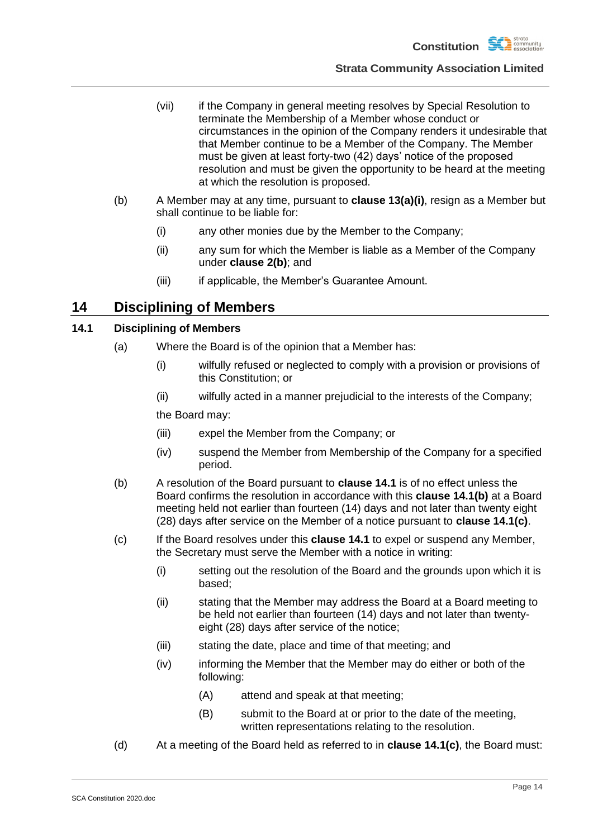

- (vii) if the Company in general meeting resolves by Special Resolution to terminate the Membership of a Member whose conduct or circumstances in the opinion of the Company renders it undesirable that that Member continue to be a Member of the Company. The Member must be given at least forty-two (42) days' notice of the proposed resolution and must be given the opportunity to be heard at the meeting at which the resolution is proposed.
- (b) A Member may at any time, pursuant to **clause [13\(a\)\(i\)](#page-16-4)**, resign as a Member but shall continue to be liable for:
	- (i) any other monies due by the Member to the Company;
	- (ii) any sum for which the Member is liable as a Member of the Company under **clause [2\(b\)](#page-5-6)**; and
	- (iii) if applicable, the Member's Guarantee Amount.

## <span id="page-17-0"></span>**14 Disciplining of Members**

### <span id="page-17-1"></span>**14.1 Disciplining of Members**

- (a) Where the Board is of the opinion that a Member has:
	- (i) wilfully refused or neglected to comply with a provision or provisions of this Constitution; or
	- (ii) wilfully acted in a manner prejudicial to the interests of the Company;

the Board may:

- (iii) expel the Member from the Company; or
- (iv) suspend the Member from Membership of the Company for a specified period.
- <span id="page-17-2"></span>(b) A resolution of the Board pursuant to **clause [14.1](#page-17-1)** is of no effect unless the Board confirms the resolution in accordance with this **clause [14.1\(b\)](#page-17-2)** at a Board meeting held not earlier than fourteen (14) days and not later than twenty eight (28) days after service on the Member of a notice pursuant to **clause [14.1\(c\)](#page-17-3)**.
- <span id="page-17-3"></span>(c) If the Board resolves under this **clause [14.1](#page-17-1)** to expel or suspend any Member, the Secretary must serve the Member with a notice in writing:
	- (i) setting out the resolution of the Board and the grounds upon which it is based;
	- (ii) stating that the Member may address the Board at a Board meeting to be held not earlier than fourteen (14) days and not later than twentyeight (28) days after service of the notice;
	- (iii) stating the date, place and time of that meeting; and
	- (iv) informing the Member that the Member may do either or both of the following:
		- (A) attend and speak at that meeting;
		- (B) submit to the Board at or prior to the date of the meeting, written representations relating to the resolution.
- <span id="page-17-4"></span>(d) At a meeting of the Board held as referred to in **clause [14.1\(c\)](#page-17-3)**, the Board must: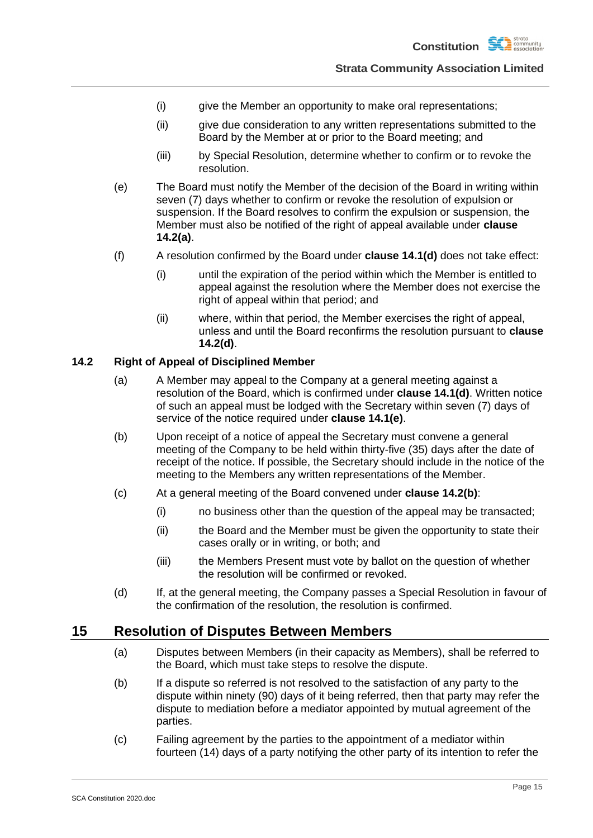- (i) give the Member an opportunity to make oral representations;
- (ii) give due consideration to any written representations submitted to the Board by the Member at or prior to the Board meeting; and
- (iii) by Special Resolution, determine whether to confirm or to revoke the resolution.
- <span id="page-18-4"></span>(e) The Board must notify the Member of the decision of the Board in writing within seven (7) days whether to confirm or revoke the resolution of expulsion or suspension. If the Board resolves to confirm the expulsion or suspension, the Member must also be notified of the right of appeal available under **clause [14.2\(a\)](#page-18-2)**.
- (f) A resolution confirmed by the Board under **clause [14.1\(d\)](#page-17-4)** does not take effect:
	- (i) until the expiration of the period within which the Member is entitled to appeal against the resolution where the Member does not exercise the right of appeal within that period; and
	- (ii) where, within that period, the Member exercises the right of appeal, unless and until the Board reconfirms the resolution pursuant to **clause [14.2\(d\)](#page-18-3)**.

### <span id="page-18-2"></span><span id="page-18-0"></span>**14.2 Right of Appeal of Disciplined Member**

- (a) A Member may appeal to the Company at a general meeting against a resolution of the Board, which is confirmed under **clause [14.1\(d\)](#page-17-4)**. Written notice of such an appeal must be lodged with the Secretary within seven (7) days of service of the notice required under **clause [14.1\(e\)](#page-18-4)**.
- <span id="page-18-5"></span>(b) Upon receipt of a notice of appeal the Secretary must convene a general meeting of the Company to be held within thirty-five (35) days after the date of receipt of the notice. If possible, the Secretary should include in the notice of the meeting to the Members any written representations of the Member.
- (c) At a general meeting of the Board convened under **clause [14.2\(b\)](#page-18-5)**:
	- (i) no business other than the question of the appeal may be transacted;
	- (ii) the Board and the Member must be given the opportunity to state their cases orally or in writing, or both; and
	- (iii) the Members Present must vote by ballot on the question of whether the resolution will be confirmed or revoked.
- (d) If, at the general meeting, the Company passes a Special Resolution in favour of the confirmation of the resolution, the resolution is confirmed.

## <span id="page-18-6"></span><span id="page-18-3"></span><span id="page-18-1"></span>**15 Resolution of Disputes Between Members**

- (a) Disputes between Members (in their capacity as Members), shall be referred to the Board, which must take steps to resolve the dispute.
- (b) If a dispute so referred is not resolved to the satisfaction of any party to the dispute within ninety (90) days of it being referred, then that party may refer the dispute to mediation before a mediator appointed by mutual agreement of the parties.
- <span id="page-18-7"></span>(c) Failing agreement by the parties to the appointment of a mediator within fourteen (14) days of a party notifying the other party of its intention to refer the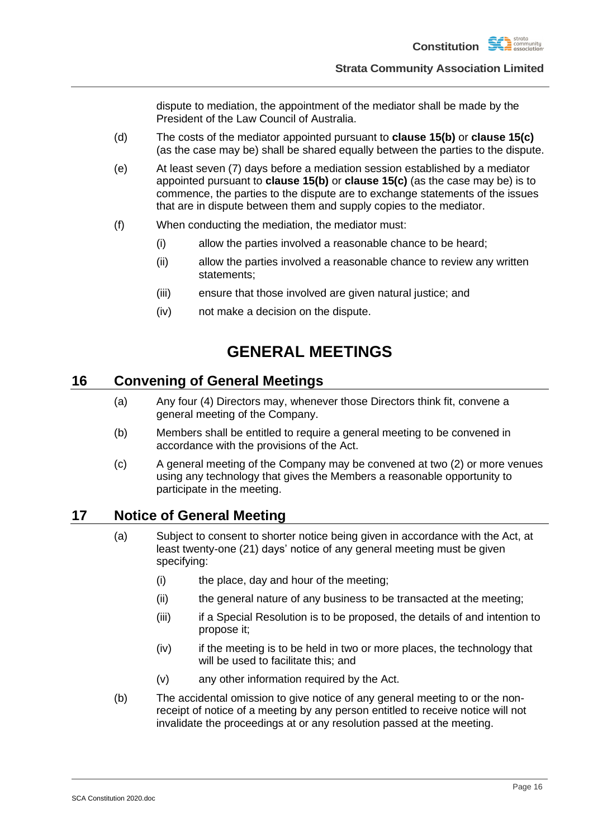dispute to mediation, the appointment of the mediator shall be made by the President of the Law Council of Australia.

- (d) The costs of the mediator appointed pursuant to **clause [15\(b\)](#page-18-6)** or **clause [15\(c\)](#page-18-7)** (as the case may be) shall be shared equally between the parties to the dispute.
- (e) At least seven (7) days before a mediation session established by a mediator appointed pursuant to **clause [15\(b\)](#page-18-6)** or **clause [15\(c\)](#page-18-7)** (as the case may be) is to commence, the parties to the dispute are to exchange statements of the issues that are in dispute between them and supply copies to the mediator.
- (f) When conducting the mediation, the mediator must:
	- (i) allow the parties involved a reasonable chance to be heard;
	- (ii) allow the parties involved a reasonable chance to review any written statements;
	- (iii) ensure that those involved are given natural justice; and
	- (iv) not make a decision on the dispute.

## **GENERAL MEETINGS**

### <span id="page-19-1"></span><span id="page-19-0"></span>**16 Convening of General Meetings**

- (a) Any four (4) Directors may, whenever those Directors think fit, convene a general meeting of the Company.
- (b) Members shall be entitled to require a general meeting to be convened in accordance with the provisions of the Act.
- (c) A general meeting of the Company may be convened at two (2) or more venues using any technology that gives the Members a reasonable opportunity to participate in the meeting.

## <span id="page-19-2"></span>**17 Notice of General Meeting**

- (a) Subject to consent to shorter notice being given in accordance with the Act, at least twenty-one (21) days' notice of any general meeting must be given specifying:
	- (i) the place, day and hour of the meeting;
	- (ii) the general nature of any business to be transacted at the meeting;
	- (iii) if a Special Resolution is to be proposed, the details of and intention to propose it;
	- (iv) if the meeting is to be held in two or more places, the technology that will be used to facilitate this; and
	- (v) any other information required by the Act.
- (b) The accidental omission to give notice of any general meeting to or the nonreceipt of notice of a meeting by any person entitled to receive notice will not invalidate the proceedings at or any resolution passed at the meeting.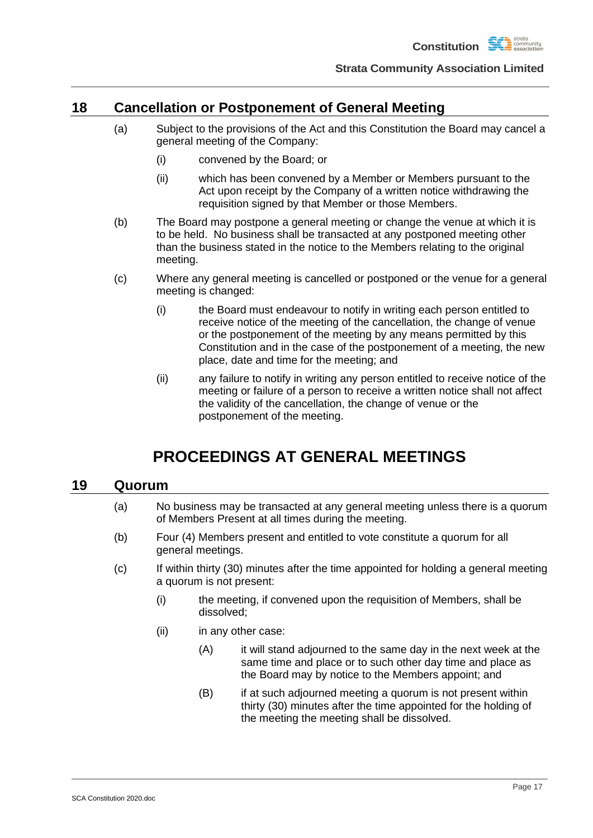

## <span id="page-20-0"></span>**18 Cancellation or Postponement of General Meeting**

- (a) Subject to the provisions of the Act and this Constitution the Board may cancel a general meeting of the Company:
	- (i) convened by the Board; or
	- (ii) which has been convened by a Member or Members pursuant to the Act upon receipt by the Company of a written notice withdrawing the requisition signed by that Member or those Members.
- (b) The Board may postpone a general meeting or change the venue at which it is to be held. No business shall be transacted at any postponed meeting other than the business stated in the notice to the Members relating to the original meeting.
- (c) Where any general meeting is cancelled or postponed or the venue for a general meeting is changed:
	- (i) the Board must endeavour to notify in writing each person entitled to receive notice of the meeting of the cancellation, the change of venue or the postponement of the meeting by any means permitted by this Constitution and in the case of the postponement of a meeting, the new place, date and time for the meeting; and
	- (ii) any failure to notify in writing any person entitled to receive notice of the meeting or failure of a person to receive a written notice shall not affect the validity of the cancellation, the change of venue or the postponement of the meeting.

## **PROCEEDINGS AT GENERAL MEETINGS**

### <span id="page-20-2"></span><span id="page-20-1"></span>**19 Quorum**

- (a) No business may be transacted at any general meeting unless there is a quorum of Members Present at all times during the meeting.
- (b) Four (4) Members present and entitled to vote constitute a quorum for all general meetings.
- (c) If within thirty (30) minutes after the time appointed for holding a general meeting a quorum is not present:
	- (i) the meeting, if convened upon the requisition of Members, shall be dissolved;
	- (ii) in any other case:
		- (A) it will stand adjourned to the same day in the next week at the same time and place or to such other day time and place as the Board may by notice to the Members appoint; and
		- (B) if at such adjourned meeting a quorum is not present within thirty (30) minutes after the time appointed for the holding of the meeting the meeting shall be dissolved.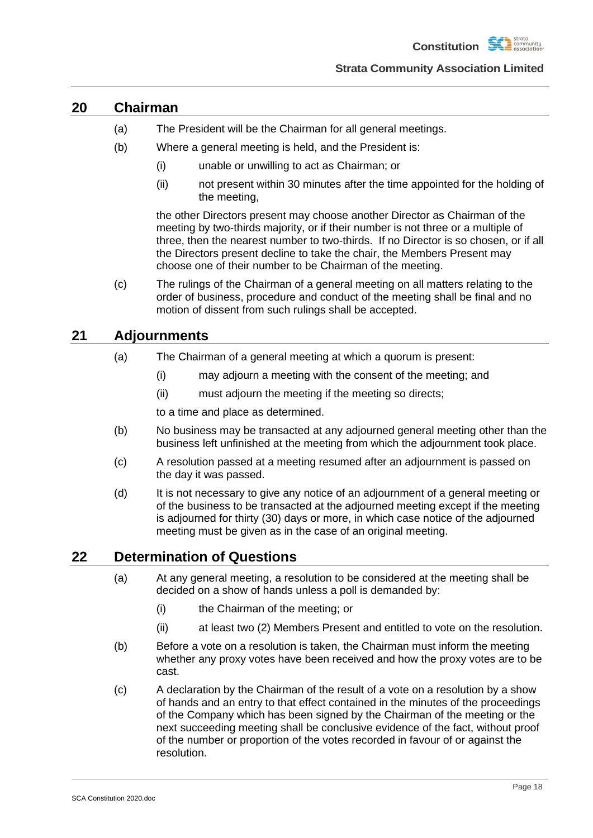

### <span id="page-21-0"></span>**20 Chairman**

- (a) The President will be the Chairman for all general meetings.
- (b) Where a general meeting is held, and the President is:
	- (i) unable or unwilling to act as Chairman; or
	- (ii) not present within 30 minutes after the time appointed for the holding of the meeting,

the other Directors present may choose another Director as Chairman of the meeting by two-thirds majority, or if their number is not three or a multiple of three, then the nearest number to two-thirds. If no Director is so chosen, or if all the Directors present decline to take the chair, the Members Present may choose one of their number to be Chairman of the meeting.

(c) The rulings of the Chairman of a general meeting on all matters relating to the order of business, procedure and conduct of the meeting shall be final and no motion of dissent from such rulings shall be accepted.

## <span id="page-21-1"></span>**21 Adjournments**

- (a) The Chairman of a general meeting at which a quorum is present:
	- (i) may adjourn a meeting with the consent of the meeting; and
	- (ii) must adjourn the meeting if the meeting so directs;

to a time and place as determined.

- (b) No business may be transacted at any adjourned general meeting other than the business left unfinished at the meeting from which the adjournment took place.
- (c) A resolution passed at a meeting resumed after an adjournment is passed on the day it was passed.
- (d) It is not necessary to give any notice of an adjournment of a general meeting or of the business to be transacted at the adjourned meeting except if the meeting is adjourned for thirty (30) days or more, in which case notice of the adjourned meeting must be given as in the case of an original meeting.

## <span id="page-21-2"></span>**22 Determination of Questions**

- (a) At any general meeting, a resolution to be considered at the meeting shall be decided on a show of hands unless a poll is demanded by:
	- (i) the Chairman of the meeting; or
	- (ii) at least two (2) Members Present and entitled to vote on the resolution.
- (b) Before a vote on a resolution is taken, the Chairman must inform the meeting whether any proxy votes have been received and how the proxy votes are to be cast.
- (c) A declaration by the Chairman of the result of a vote on a resolution by a show of hands and an entry to that effect contained in the minutes of the proceedings of the Company which has been signed by the Chairman of the meeting or the next succeeding meeting shall be conclusive evidence of the fact, without proof of the number or proportion of the votes recorded in favour of or against the resolution.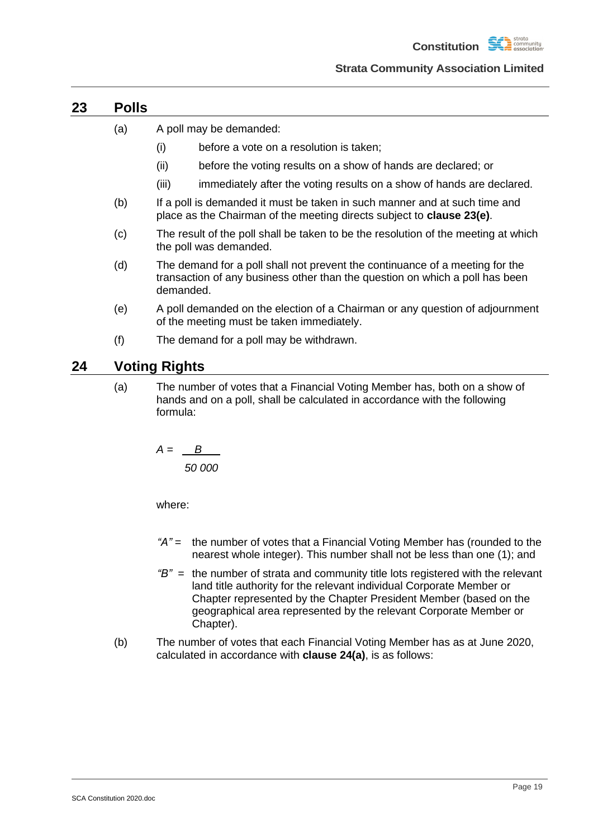**Constitution** 

#### **Strata Community Association Limited**

### <span id="page-22-0"></span>**23 Polls**

- (a) A poll may be demanded:
	- (i) before a vote on a resolution is taken;
	- (ii) before the voting results on a show of hands are declared; or
	- (iii) immediately after the voting results on a show of hands are declared.
- (b) If a poll is demanded it must be taken in such manner and at such time and place as the Chairman of the meeting directs subject to **clause [23\(e\)](#page-22-2)**.
- (c) The result of the poll shall be taken to be the resolution of the meeting at which the poll was demanded.
- (d) The demand for a poll shall not prevent the continuance of a meeting for the transaction of any business other than the question on which a poll has been demanded.
- <span id="page-22-2"></span>(e) A poll demanded on the election of a Chairman or any question of adjournment of the meeting must be taken immediately.
- (f) The demand for a poll may be withdrawn.

## <span id="page-22-3"></span><span id="page-22-1"></span>**24 Voting Rights**

(a) The number of votes that a Financial Voting Member has, both on a show of hands and on a poll, shall be calculated in accordance with the following formula:

$$
A = \frac{B}{50000}
$$

where:

- *"A"* = the number of votes that a Financial Voting Member has (rounded to the nearest whole integer). This number shall not be less than one (1); and
- *"B"* = the number of strata and community title lots registered with the relevant land title authority for the relevant individual Corporate Member or Chapter represented by the Chapter President Member (based on the geographical area represented by the relevant Corporate Member or Chapter).
- (b) The number of votes that each Financial Voting Member has as at June 2020, calculated in accordance with **clause [24\(a\)](#page-22-3)**, is as follows: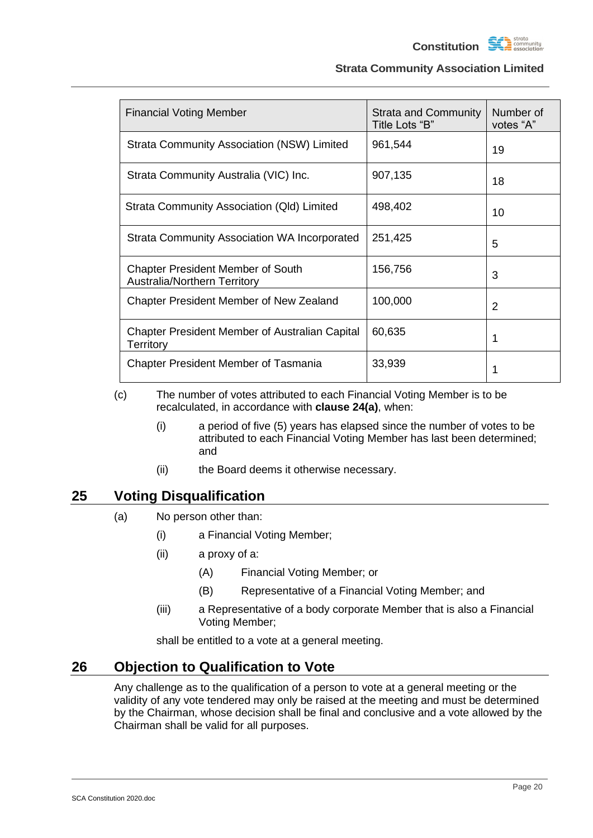$\begin{tabular}{ll} \hline \bf - strata \\ \hline \bf - community \\ \hline \bf - association \\ \hline \end{tabular}$ **Constitution** 

### **Strata Community Association Limited**

| <b>Financial Voting Member</b>                                                  | <b>Strata and Community</b><br>Title Lots "B" | Number of<br>votes "A" |
|---------------------------------------------------------------------------------|-----------------------------------------------|------------------------|
| <b>Strata Community Association (NSW) Limited</b>                               | 961,544                                       | 19                     |
| Strata Community Australia (VIC) Inc.                                           | 907,135                                       | 18                     |
| Strata Community Association (QId) Limited                                      | 498,402                                       | 10                     |
| Strata Community Association WA Incorporated                                    | 251,425                                       | 5                      |
| <b>Chapter President Member of South</b><br><b>Australia/Northern Territory</b> | 156,756                                       | 3                      |
| Chapter President Member of New Zealand                                         | 100,000                                       | $\overline{2}$         |
| <b>Chapter President Member of Australian Capital</b><br><b>Territory</b>       | 60,635                                        | 1                      |
| <b>Chapter President Member of Tasmania</b>                                     | 33,939                                        | 1                      |

(c) The number of votes attributed to each Financial Voting Member is to be recalculated, in accordance with **clause [24\(a\)](#page-22-3)**, when:

- (i) a period of five (5) years has elapsed since the number of votes to be attributed to each Financial Voting Member has last been determined; and
- (ii) the Board deems it otherwise necessary.

## <span id="page-23-0"></span>**25 Voting Disqualification**

- (a) No person other than:
	- (i) a Financial Voting Member;
	- (ii) a proxy of a:
		- (A) Financial Voting Member; or
		- (B) Representative of a Financial Voting Member; and
	- (iii) a Representative of a body corporate Member that is also a Financial Voting Member;

shall be entitled to a vote at a general meeting.

## <span id="page-23-1"></span>**26 Objection to Qualification to Vote**

Any challenge as to the qualification of a person to vote at a general meeting or the validity of any vote tendered may only be raised at the meeting and must be determined by the Chairman, whose decision shall be final and conclusive and a vote allowed by the Chairman shall be valid for all purposes.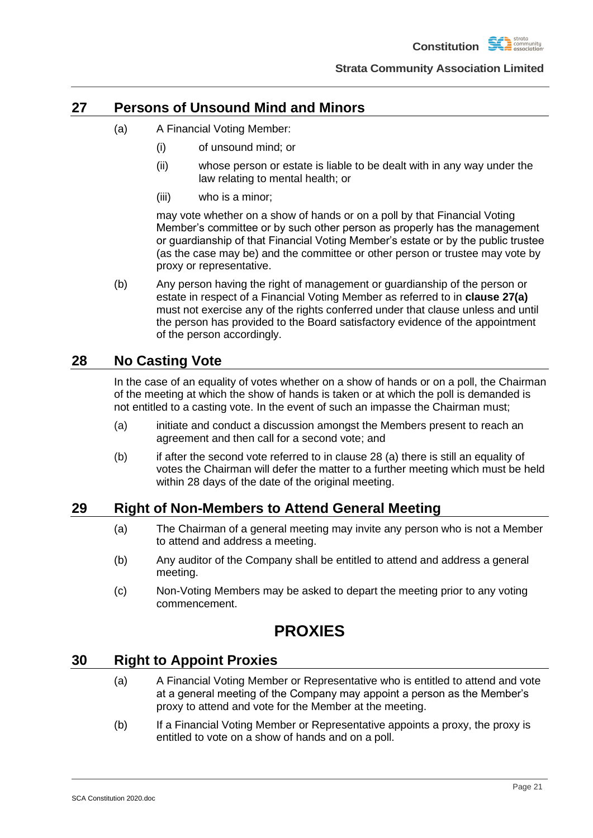## <span id="page-24-5"></span><span id="page-24-0"></span>**27 Persons of Unsound Mind and Minors**

- (a) A Financial Voting Member:
	- (i) of unsound mind; or
	- (ii) whose person or estate is liable to be dealt with in any way under the law relating to mental health; or
	- (iii) who is a minor;

may vote whether on a show of hands or on a poll by that Financial Voting Member's committee or by such other person as properly has the management or guardianship of that Financial Voting Member's estate or by the public trustee (as the case may be) and the committee or other person or trustee may vote by proxy or representative.

(b) Any person having the right of management or guardianship of the person or estate in respect of a Financial Voting Member as referred to in **clause [27\(a\)](#page-24-5)** must not exercise any of the rights conferred under that clause unless and until the person has provided to the Board satisfactory evidence of the appointment of the person accordingly.

## <span id="page-24-1"></span>**28 No Casting Vote**

In the case of an equality of votes whether on a show of hands or on a poll, the Chairman of the meeting at which the show of hands is taken or at which the poll is demanded is not entitled to a casting vote. In the event of such an impasse the Chairman must;

- (a) initiate and conduct a discussion amongst the Members present to reach an agreement and then call for a second vote; and
- (b) if after the second vote referred to in clause 28 (a) there is still an equality of votes the Chairman will defer the matter to a further meeting which must be held within 28 days of the date of the original meeting.

## <span id="page-24-2"></span>**29 Right of Non-Members to Attend General Meeting**

- (a) The Chairman of a general meeting may invite any person who is not a Member to attend and address a meeting.
- (b) Any auditor of the Company shall be entitled to attend and address a general meeting.
- (c) Non-Voting Members may be asked to depart the meeting prior to any voting commencement.

## **PROXIES**

## <span id="page-24-4"></span><span id="page-24-3"></span>**30 Right to Appoint Proxies**

- (a) A Financial Voting Member or Representative who is entitled to attend and vote at a general meeting of the Company may appoint a person as the Member's proxy to attend and vote for the Member at the meeting.
- (b) If a Financial Voting Member or Representative appoints a proxy, the proxy is entitled to vote on a show of hands and on a poll.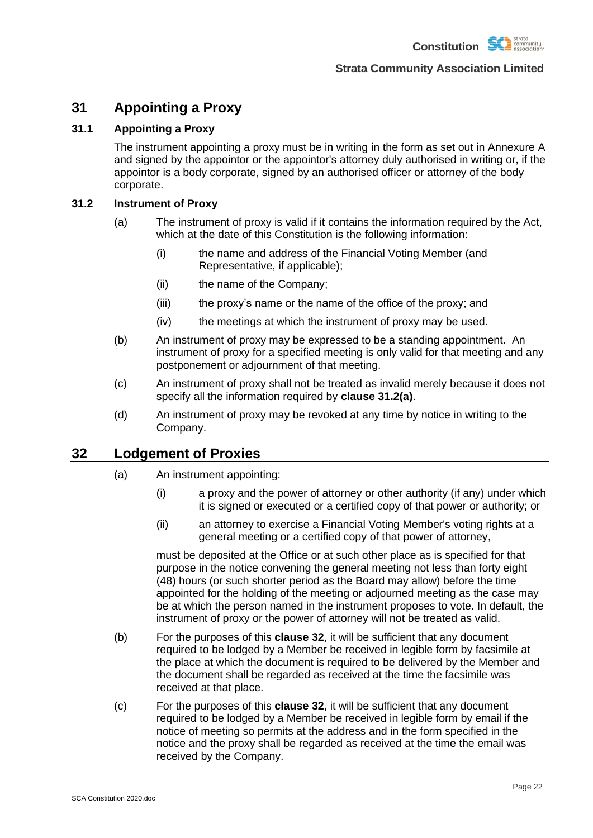## <span id="page-25-0"></span>**31 Appointing a Proxy**

## <span id="page-25-1"></span>**31.1 Appointing a Proxy**

The instrument appointing a proxy must be in writing in the form as set out in Annexure A and signed by the appointor or the appointor's attorney duly authorised in writing or, if the appointor is a body corporate, signed by an authorised officer or attorney of the body corporate.

### <span id="page-25-4"></span><span id="page-25-2"></span>**31.2 Instrument of Proxy**

- (a) The instrument of proxy is valid if it contains the information required by the Act, which at the date of this Constitution is the following information:
	- (i) the name and address of the Financial Voting Member (and Representative, if applicable);
	- (ii) the name of the Company;
	- (iii) the proxy's name or the name of the office of the proxy; and
	- (iv) the meetings at which the instrument of proxy may be used.
- (b) An instrument of proxy may be expressed to be a standing appointment. An instrument of proxy for a specified meeting is only valid for that meeting and any postponement or adjournment of that meeting.
- (c) An instrument of proxy shall not be treated as invalid merely because it does not specify all the information required by **clause [31.2\(a\)](#page-25-4)**.
- (d) An instrument of proxy may be revoked at any time by notice in writing to the Company.

## <span id="page-25-3"></span>**32 Lodgement of Proxies**

- (a) An instrument appointing:
	- (i) a proxy and the power of attorney or other authority (if any) under which it is signed or executed or a certified copy of that power or authority; or
	- (ii) an attorney to exercise a Financial Voting Member's voting rights at a general meeting or a certified copy of that power of attorney,

must be deposited at the Office or at such other place as is specified for that purpose in the notice convening the general meeting not less than forty eight (48) hours (or such shorter period as the Board may allow) before the time appointed for the holding of the meeting or adjourned meeting as the case may be at which the person named in the instrument proposes to vote. In default, the instrument of proxy or the power of attorney will not be treated as valid.

- (b) For the purposes of this **clause [32](#page-25-3)**, it will be sufficient that any document required to be lodged by a Member be received in legible form by facsimile at the place at which the document is required to be delivered by the Member and the document shall be regarded as received at the time the facsimile was received at that place.
- (c) For the purposes of this **clause [32](#page-25-3)**, it will be sufficient that any document required to be lodged by a Member be received in legible form by email if the notice of meeting so permits at the address and in the form specified in the notice and the proxy shall be regarded as received at the time the email was received by the Company.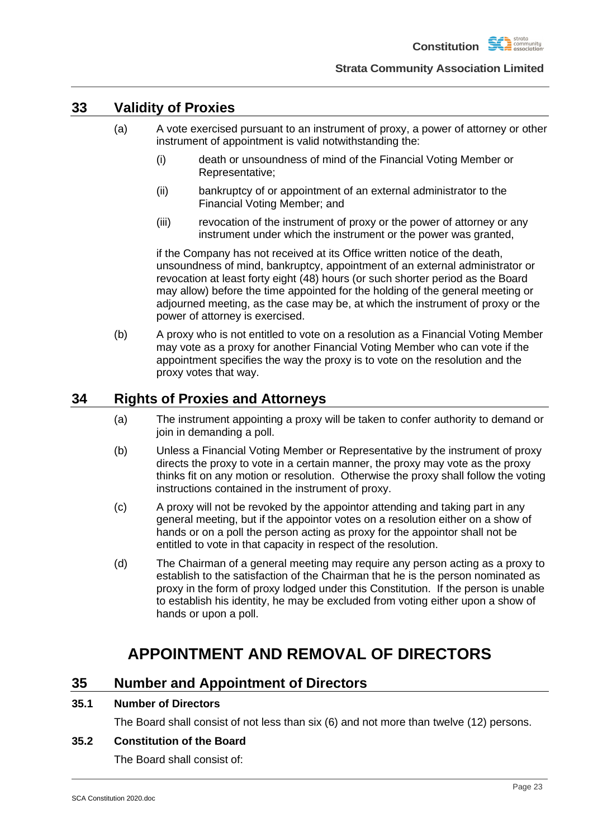

## <span id="page-26-0"></span>**33 Validity of Proxies**

- (a) A vote exercised pursuant to an instrument of proxy, a power of attorney or other instrument of appointment is valid notwithstanding the:
	- (i) death or unsoundness of mind of the Financial Voting Member or Representative;
	- (ii) bankruptcy of or appointment of an external administrator to the Financial Voting Member; and
	- (iii) revocation of the instrument of proxy or the power of attorney or any instrument under which the instrument or the power was granted,

if the Company has not received at its Office written notice of the death, unsoundness of mind, bankruptcy, appointment of an external administrator or revocation at least forty eight (48) hours (or such shorter period as the Board may allow) before the time appointed for the holding of the general meeting or adjourned meeting, as the case may be, at which the instrument of proxy or the power of attorney is exercised.

(b) A proxy who is not entitled to vote on a resolution as a Financial Voting Member may vote as a proxy for another Financial Voting Member who can vote if the appointment specifies the way the proxy is to vote on the resolution and the proxy votes that way.

## <span id="page-26-1"></span>**34 Rights of Proxies and Attorneys**

- (a) The instrument appointing a proxy will be taken to confer authority to demand or join in demanding a poll.
- (b) Unless a Financial Voting Member or Representative by the instrument of proxy directs the proxy to vote in a certain manner, the proxy may vote as the proxy thinks fit on any motion or resolution. Otherwise the proxy shall follow the voting instructions contained in the instrument of proxy.
- (c) A proxy will not be revoked by the appointor attending and taking part in any general meeting, but if the appointor votes on a resolution either on a show of hands or on a poll the person acting as proxy for the appointor shall not be entitled to vote in that capacity in respect of the resolution.
- (d) The Chairman of a general meeting may require any person acting as a proxy to establish to the satisfaction of the Chairman that he is the person nominated as proxy in the form of proxy lodged under this Constitution. If the person is unable to establish his identity, he may be excluded from voting either upon a show of hands or upon a poll.

## **APPOINTMENT AND REMOVAL OF DIRECTORS**

## <span id="page-26-3"></span><span id="page-26-2"></span>**35 Number and Appointment of Directors**

### <span id="page-26-4"></span>**35.1 Number of Directors**

The Board shall consist of not less than six (6) and not more than twelve (12) persons.

### <span id="page-26-5"></span>**35.2 Constitution of the Board**

The Board shall consist of: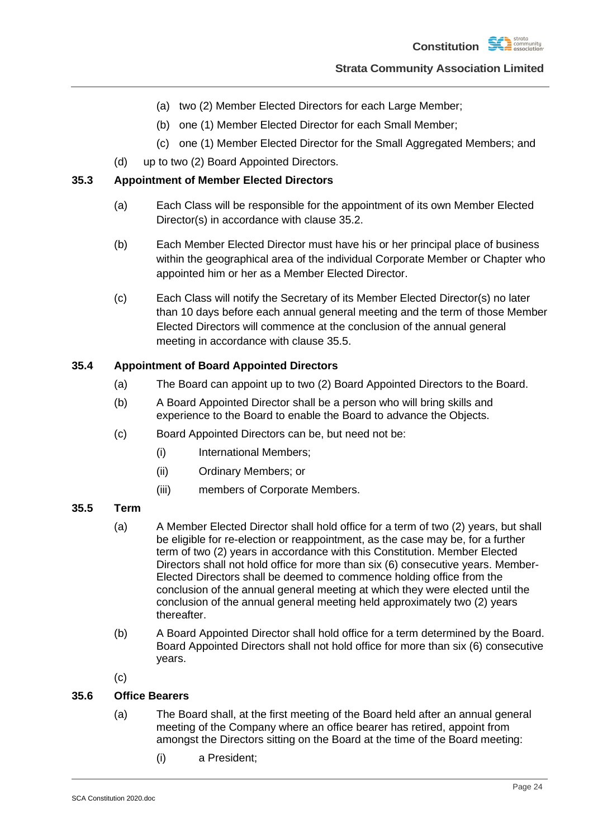- (a) two (2) Member Elected Directors for each Large Member;
- (b) one (1) Member Elected Director for each Small Member;
- (c) one (1) Member Elected Director for the Small Aggregated Members; and
- (d) up to two (2) Board Appointed Directors.

### <span id="page-27-0"></span>**35.3 Appointment of Member Elected Directors**

- (a) Each Class will be responsible for the appointment of its own Member Elected Director(s) in accordance with clause 35.2.
- (b) Each Member Elected Director must have his or her principal place of business within the geographical area of the individual Corporate Member or Chapter who appointed him or her as a Member Elected Director.
- (c) Each Class will notify the Secretary of its Member Elected Director(s) no later than 10 days before each annual general meeting and the term of those Member Elected Directors will commence at the conclusion of the annual general meeting in accordance with clause 35.5.

### <span id="page-27-1"></span>**35.4 Appointment of Board Appointed Directors**

- (a) The Board can appoint up to two (2) Board Appointed Directors to the Board.
- (b) A Board Appointed Director shall be a person who will bring skills and experience to the Board to enable the Board to advance the Objects.
- (c) Board Appointed Directors can be, but need not be:
	- (i) International Members;
	- (ii) Ordinary Members; or
	- (iii) members of Corporate Members.

### <span id="page-27-2"></span>**35.5 Term**

- (a) A Member Elected Director shall hold office for a term of two (2) years, but shall be eligible for re-election or reappointment, as the case may be, for a further term of two (2) years in accordance with this Constitution. Member Elected Directors shall not hold office for more than six (6) consecutive years. Member-Elected Directors shall be deemed to commence holding office from the conclusion of the annual general meeting at which they were elected until the conclusion of the annual general meeting held approximately two (2) years thereafter.
- (b) A Board Appointed Director shall hold office for a term determined by the Board. Board Appointed Directors shall not hold office for more than six (6) consecutive years.
- (c)

### <span id="page-27-3"></span>**35.6 Office Bearers**

- (a) The Board shall, at the first meeting of the Board held after an annual general meeting of the Company where an office bearer has retired, appoint from amongst the Directors sitting on the Board at the time of the Board meeting:
	- (i) a President;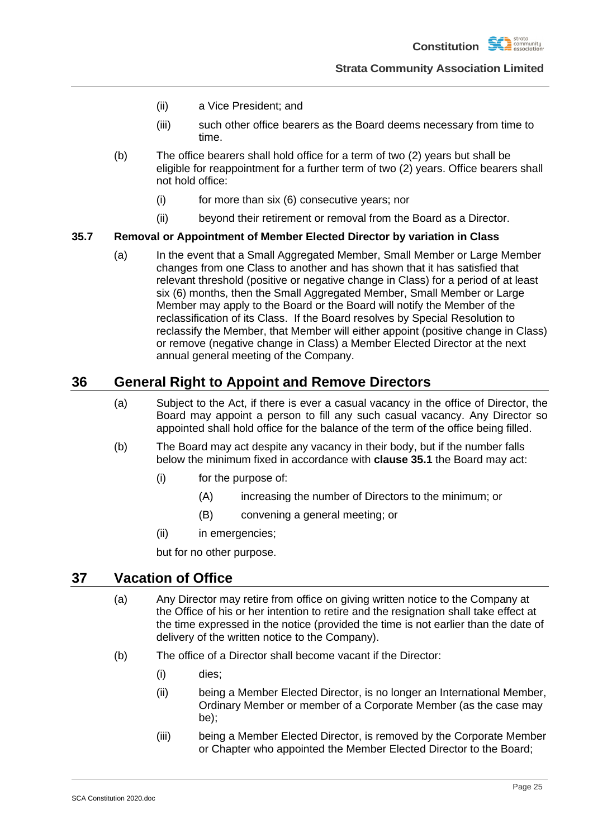- (ii) a Vice President; and
- (iii) such other office bearers as the Board deems necessary from time to time.
- (b) The office bearers shall hold office for a term of two (2) years but shall be eligible for reappointment for a further term of two (2) years. Office bearers shall not hold office:
	- (i) for more than six (6) consecutive years; nor
	- (ii) beyond their retirement or removal from the Board as a Director.

### **35.7 Removal or Appointment of Member Elected Director by variation in Class**

(a) In the event that a Small Aggregated Member, Small Member or Large Member changes from one Class to another and has shown that it has satisfied that relevant threshold (positive or negative change in Class) for a period of at least six (6) months, then the Small Aggregated Member, Small Member or Large Member may apply to the Board or the Board will notify the Member of the reclassification of its Class. If the Board resolves by Special Resolution to reclassify the Member, that Member will either appoint (positive change in Class) or remove (negative change in Class) a Member Elected Director at the next annual general meeting of the Company.

## <span id="page-28-0"></span>**36 General Right to Appoint and Remove Directors**

- (a) Subject to the Act, if there is ever a casual vacancy in the office of Director, the Board may appoint a person to fill any such casual vacancy. Any Director so appointed shall hold office for the balance of the term of the office being filled.
- (b) The Board may act despite any vacancy in their body, but if the number falls below the minimum fixed in accordance with **clause [35.1](#page-26-4)** the Board may act:
	- (i) for the purpose of:
		- (A) increasing the number of Directors to the minimum; or
		- (B) convening a general meeting; or
	- (ii) in emergencies;

but for no other purpose.

## <span id="page-28-1"></span>**37 Vacation of Office**

- (a) Any Director may retire from office on giving written notice to the Company at the Office of his or her intention to retire and the resignation shall take effect at the time expressed in the notice (provided the time is not earlier than the date of delivery of the written notice to the Company).
- (b) The office of a Director shall become vacant if the Director:
	- (i) dies;
	- (ii) being a Member Elected Director, is no longer an International Member, Ordinary Member or member of a Corporate Member (as the case may be);
	- (iii) being a Member Elected Director, is removed by the Corporate Member or Chapter who appointed the Member Elected Director to the Board;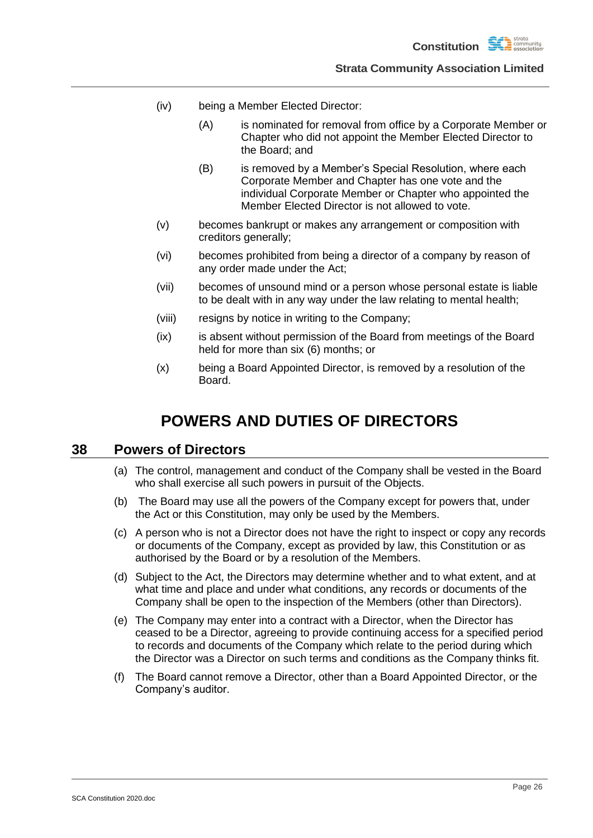- (iv) being a Member Elected Director:
	- (A) is nominated for removal from office by a Corporate Member or Chapter who did not appoint the Member Elected Director to the Board; and
	- (B) is removed by a Member's Special Resolution, where each Corporate Member and Chapter has one vote and the individual Corporate Member or Chapter who appointed the Member Elected Director is not allowed to vote.
- (v) becomes bankrupt or makes any arrangement or composition with creditors generally;
- (vi) becomes prohibited from being a director of a company by reason of any order made under the Act;
- (vii) becomes of unsound mind or a person whose personal estate is liable to be dealt with in any way under the law relating to mental health;
- (viii) resigns by notice in writing to the Company;
- (ix) is absent without permission of the Board from meetings of the Board held for more than six (6) months; or
- (x) being a Board Appointed Director, is removed by a resolution of the Board.

## **POWERS AND DUTIES OF DIRECTORS**

## <span id="page-29-1"></span><span id="page-29-0"></span>**38 Powers of Directors**

- (a) The control, management and conduct of the Company shall be vested in the Board who shall exercise all such powers in pursuit of the Objects.
- (b) The Board may use all the powers of the Company except for powers that, under the Act or this Constitution, may only be used by the Members.
- (c) A person who is not a Director does not have the right to inspect or copy any records or documents of the Company, except as provided by law, this Constitution or as authorised by the Board or by a resolution of the Members.
- (d) Subject to the Act, the Directors may determine whether and to what extent, and at what time and place and under what conditions, any records or documents of the Company shall be open to the inspection of the Members (other than Directors).
- (e) The Company may enter into a contract with a Director, when the Director has ceased to be a Director, agreeing to provide continuing access for a specified period to records and documents of the Company which relate to the period during which the Director was a Director on such terms and conditions as the Company thinks fit.
- (f) The Board cannot remove a Director, other than a Board Appointed Director, or the Company's auditor.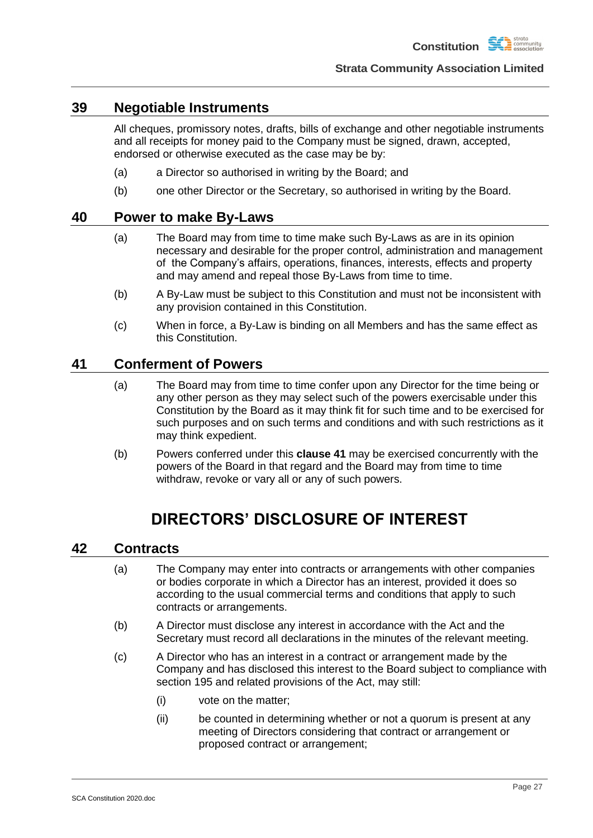

## <span id="page-30-0"></span>**39 Negotiable Instruments**

All cheques, promissory notes, drafts, bills of exchange and other negotiable instruments and all receipts for money paid to the Company must be signed, drawn, accepted, endorsed or otherwise executed as the case may be by:

- (a) a Director so authorised in writing by the Board; and
- (b) one other Director or the Secretary, so authorised in writing by the Board.

### <span id="page-30-1"></span>**40 Power to make By-Laws**

- (a) The Board may from time to time make such By-Laws as are in its opinion necessary and desirable for the proper control, administration and management of the Company's affairs, operations, finances, interests, effects and property and may amend and repeal those By-Laws from time to time.
- (b) A By-Law must be subject to this Constitution and must not be inconsistent with any provision contained in this Constitution.
- (c) When in force, a By-Law is binding on all Members and has the same effect as this Constitution.

## <span id="page-30-2"></span>**41 Conferment of Powers**

- (a) The Board may from time to time confer upon any Director for the time being or any other person as they may select such of the powers exercisable under this Constitution by the Board as it may think fit for such time and to be exercised for such purposes and on such terms and conditions and with such restrictions as it may think expedient.
- (b) Powers conferred under this **clause [41](#page-30-2)** may be exercised concurrently with the powers of the Board in that regard and the Board may from time to time withdraw, revoke or vary all or any of such powers.

## **DIRECTORS' DISCLOSURE OF INTEREST**

### <span id="page-30-4"></span><span id="page-30-3"></span>**42 Contracts**

- (a) The Company may enter into contracts or arrangements with other companies or bodies corporate in which a Director has an interest, provided it does so according to the usual commercial terms and conditions that apply to such contracts or arrangements.
- (b) A Director must disclose any interest in accordance with the Act and the Secretary must record all declarations in the minutes of the relevant meeting.
- (c) A Director who has an interest in a contract or arrangement made by the Company and has disclosed this interest to the Board subject to compliance with section 195 and related provisions of the Act, may still:
	- (i) vote on the matter;
	- (ii) be counted in determining whether or not a quorum is present at any meeting of Directors considering that contract or arrangement or proposed contract or arrangement;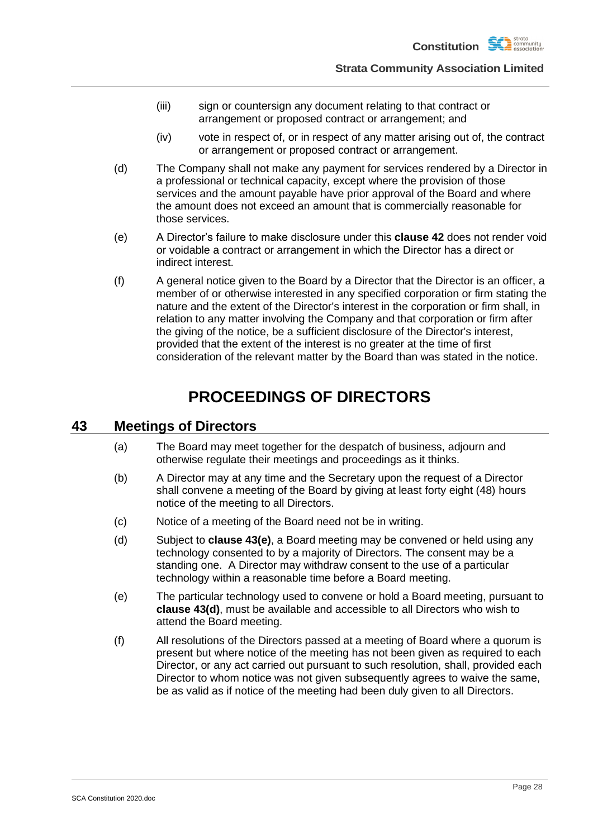- (iii) sign or countersign any document relating to that contract or arrangement or proposed contract or arrangement; and
- (iv) vote in respect of, or in respect of any matter arising out of, the contract or arrangement or proposed contract or arrangement.
- (d) The Company shall not make any payment for services rendered by a Director in a professional or technical capacity, except where the provision of those services and the amount payable have prior approval of the Board and where the amount does not exceed an amount that is commercially reasonable for those services.
- (e) A Director's failure to make disclosure under this **clause [42](#page-30-4)** does not render void or voidable a contract or arrangement in which the Director has a direct or indirect interest.
- (f) A general notice given to the Board by a Director that the Director is an officer, a member of or otherwise interested in any specified corporation or firm stating the nature and the extent of the Director's interest in the corporation or firm shall, in relation to any matter involving the Company and that corporation or firm after the giving of the notice, be a sufficient disclosure of the Director's interest, provided that the extent of the interest is no greater at the time of first consideration of the relevant matter by the Board than was stated in the notice.

## **PROCEEDINGS OF DIRECTORS**

## <span id="page-31-1"></span><span id="page-31-0"></span>**43 Meetings of Directors**

- (a) The Board may meet together for the despatch of business, adjourn and otherwise regulate their meetings and proceedings as it thinks.
- (b) A Director may at any time and the Secretary upon the request of a Director shall convene a meeting of the Board by giving at least forty eight (48) hours notice of the meeting to all Directors.
- (c) Notice of a meeting of the Board need not be in writing.
- <span id="page-31-3"></span>(d) Subject to **clause [43\(e\)](#page-31-2)**, a Board meeting may be convened or held using any technology consented to by a majority of Directors. The consent may be a standing one. A Director may withdraw consent to the use of a particular technology within a reasonable time before a Board meeting.
- <span id="page-31-2"></span>(e) The particular technology used to convene or hold a Board meeting, pursuant to **clause [43\(d\)](#page-31-3)**, must be available and accessible to all Directors who wish to attend the Board meeting.
- (f) All resolutions of the Directors passed at a meeting of Board where a quorum is present but where notice of the meeting has not been given as required to each Director, or any act carried out pursuant to such resolution, shall, provided each Director to whom notice was not given subsequently agrees to waive the same, be as valid as if notice of the meeting had been duly given to all Directors.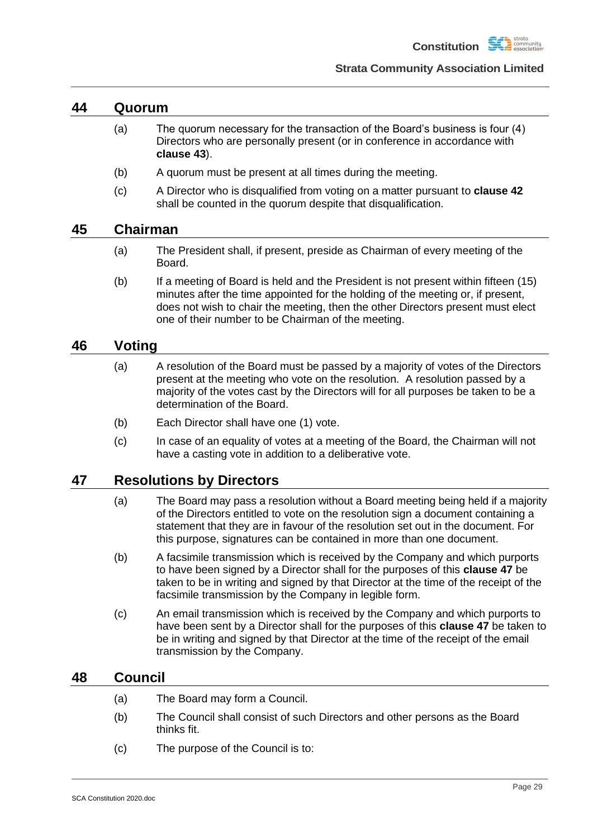

### <span id="page-32-0"></span>**44 Quorum**

- (a) The quorum necessary for the transaction of the Board's business is four (4) Directors who are personally present (or in conference in accordance with **clause [43](#page-31-1)**).
- (b) A quorum must be present at all times during the meeting.
- (c) A Director who is disqualified from voting on a matter pursuant to **clause [42](#page-30-4)** shall be counted in the quorum despite that disqualification.

### <span id="page-32-1"></span>**45 Chairman**

- (a) The President shall, if present, preside as Chairman of every meeting of the Board.
- (b) If a meeting of Board is held and the President is not present within fifteen (15) minutes after the time appointed for the holding of the meeting or, if present, does not wish to chair the meeting, then the other Directors present must elect one of their number to be Chairman of the meeting.

## <span id="page-32-2"></span>**46 Voting**

- (a) A resolution of the Board must be passed by a majority of votes of the Directors present at the meeting who vote on the resolution. A resolution passed by a majority of the votes cast by the Directors will for all purposes be taken to be a determination of the Board.
- (b) Each Director shall have one (1) vote.
- (c) In case of an equality of votes at a meeting of the Board, the Chairman will not have a casting vote in addition to a deliberative vote.

## <span id="page-32-3"></span>**47 Resolutions by Directors**

- (a) The Board may pass a resolution without a Board meeting being held if a majority of the Directors entitled to vote on the resolution sign a document containing a statement that they are in favour of the resolution set out in the document. For this purpose, signatures can be contained in more than one document.
- (b) A facsimile transmission which is received by the Company and which purports to have been signed by a Director shall for the purposes of this **clause [47](#page-32-3)** be taken to be in writing and signed by that Director at the time of the receipt of the facsimile transmission by the Company in legible form.
- (c) An email transmission which is received by the Company and which purports to have been sent by a Director shall for the purposes of this **clause [47](#page-32-3)** be taken to be in writing and signed by that Director at the time of the receipt of the email transmission by the Company.

## <span id="page-32-4"></span>**48 Council**

- (a) The Board may form a Council.
- (b) The Council shall consist of such Directors and other persons as the Board thinks fit.
- (c) The purpose of the Council is to: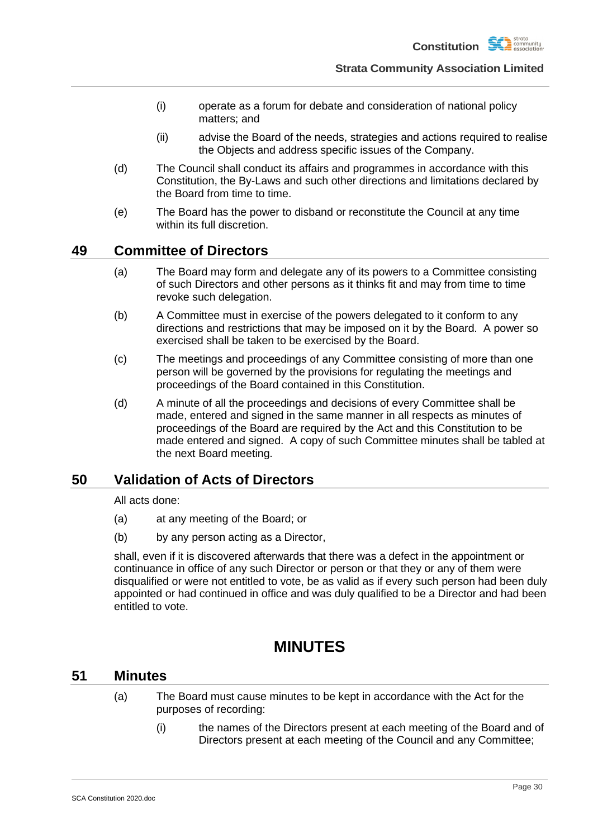

- (i) operate as a forum for debate and consideration of national policy matters; and
- (ii) advise the Board of the needs, strategies and actions required to realise the Objects and address specific issues of the Company.
- (d) The Council shall conduct its affairs and programmes in accordance with this Constitution, the By-Laws and such other directions and limitations declared by the Board from time to time.
- (e) The Board has the power to disband or reconstitute the Council at any time within its full discretion.

## <span id="page-33-0"></span>**49 Committee of Directors**

- (a) The Board may form and delegate any of its powers to a Committee consisting of such Directors and other persons as it thinks fit and may from time to time revoke such delegation.
- (b) A Committee must in exercise of the powers delegated to it conform to any directions and restrictions that may be imposed on it by the Board. A power so exercised shall be taken to be exercised by the Board.
- (c) The meetings and proceedings of any Committee consisting of more than one person will be governed by the provisions for regulating the meetings and proceedings of the Board contained in this Constitution.
- (d) A minute of all the proceedings and decisions of every Committee shall be made, entered and signed in the same manner in all respects as minutes of proceedings of the Board are required by the Act and this Constitution to be made entered and signed. A copy of such Committee minutes shall be tabled at the next Board meeting.

## <span id="page-33-1"></span>**50 Validation of Acts of Directors**

All acts done:

- (a) at any meeting of the Board; or
- (b) by any person acting as a Director,

shall, even if it is discovered afterwards that there was a defect in the appointment or continuance in office of any such Director or person or that they or any of them were disqualified or were not entitled to vote, be as valid as if every such person had been duly appointed or had continued in office and was duly qualified to be a Director and had been entitled to vote.

## **MINUTES**

### <span id="page-33-3"></span><span id="page-33-2"></span>**51 Minutes**

- (a) The Board must cause minutes to be kept in accordance with the Act for the purposes of recording:
	- (i) the names of the Directors present at each meeting of the Board and of Directors present at each meeting of the Council and any Committee;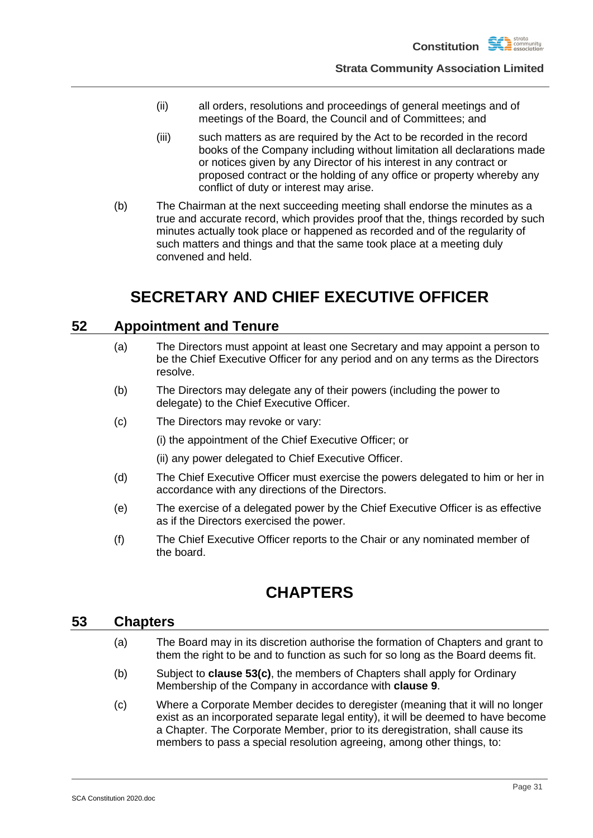

- (ii) all orders, resolutions and proceedings of general meetings and of meetings of the Board, the Council and of Committees; and
- (iii) such matters as are required by the Act to be recorded in the record books of the Company including without limitation all declarations made or notices given by any Director of his interest in any contract or proposed contract or the holding of any office or property whereby any conflict of duty or interest may arise.
- (b) The Chairman at the next succeeding meeting shall endorse the minutes as a true and accurate record, which provides proof that the, things recorded by such minutes actually took place or happened as recorded and of the regularity of such matters and things and that the same took place at a meeting duly convened and held.

## **SECRETARY AND CHIEF EXECUTIVE OFFICER**

## <span id="page-34-1"></span><span id="page-34-0"></span>**52 Appointment and Tenure**

- (a) The Directors must appoint at least one Secretary and may appoint a person to be the Chief Executive Officer for any period and on any terms as the Directors resolve.
- (b) The Directors may delegate any of their powers (including the power to delegate) to the Chief Executive Officer.
- (c) The Directors may revoke or vary:

(i) the appointment of the Chief Executive Officer; or

(ii) any power delegated to Chief Executive Officer.

- (d) The Chief Executive Officer must exercise the powers delegated to him or her in accordance with any directions of the Directors.
- (e) The exercise of a delegated power by the Chief Executive Officer is as effective as if the Directors exercised the power.
- (f) The Chief Executive Officer reports to the Chair or any nominated member of the board.

## **CHAPTERS**

### <span id="page-34-3"></span><span id="page-34-2"></span>**53 Chapters**

- (a) The Board may in its discretion authorise the formation of Chapters and grant to them the right to be and to function as such for so long as the Board deems fit.
- (b) Subject to **clause [53\(c\)](#page-34-4)**, the members of Chapters shall apply for Ordinary Membership of the Company in accordance with **clause [9](#page-12-0)**.
- <span id="page-34-4"></span>(c) Where a Corporate Member decides to deregister (meaning that it will no longer exist as an incorporated separate legal entity), it will be deemed to have become a Chapter. The Corporate Member, prior to its deregistration, shall cause its members to pass a special resolution agreeing, among other things, to: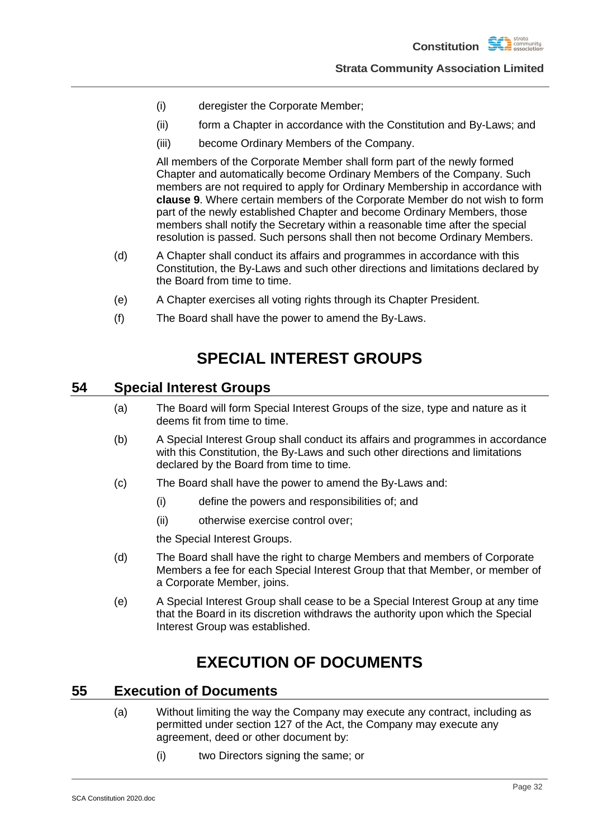- (i) deregister the Corporate Member;
- (ii) form a Chapter in accordance with the Constitution and By-Laws; and
- (iii) become Ordinary Members of the Company.

All members of the Corporate Member shall form part of the newly formed Chapter and automatically become Ordinary Members of the Company. Such members are not required to apply for Ordinary Membership in accordance with **clause [9](#page-12-0)**. Where certain members of the Corporate Member do not wish to form part of the newly established Chapter and become Ordinary Members, those members shall notify the Secretary within a reasonable time after the special resolution is passed. Such persons shall then not become Ordinary Members.

- (d) A Chapter shall conduct its affairs and programmes in accordance with this Constitution, the By-Laws and such other directions and limitations declared by the Board from time to time.
- (e) A Chapter exercises all voting rights through its Chapter President.
- (f) The Board shall have the power to amend the By-Laws.

## **SPECIAL INTEREST GROUPS**

## <span id="page-35-0"></span>**54 Special Interest Groups**

- (a) The Board will form Special Interest Groups of the size, type and nature as it deems fit from time to time.
- (b) A Special Interest Group shall conduct its affairs and programmes in accordance with this Constitution, the By-Laws and such other directions and limitations declared by the Board from time to time.
- (c) The Board shall have the power to amend the By-Laws and:
	- (i) define the powers and responsibilities of; and
	- (ii) otherwise exercise control over;

the Special Interest Groups.

- (d) The Board shall have the right to charge Members and members of Corporate Members a fee for each Special Interest Group that that Member, or member of a Corporate Member, joins.
- (e) A Special Interest Group shall cease to be a Special Interest Group at any time that the Board in its discretion withdraws the authority upon which the Special Interest Group was established.

## **EXECUTION OF DOCUMENTS**

## <span id="page-35-2"></span><span id="page-35-1"></span>**55 Execution of Documents**

- (a) Without limiting the way the Company may execute any contract, including as permitted under section 127 of the Act, the Company may execute any agreement, deed or other document by:
	- (i) two Directors signing the same; or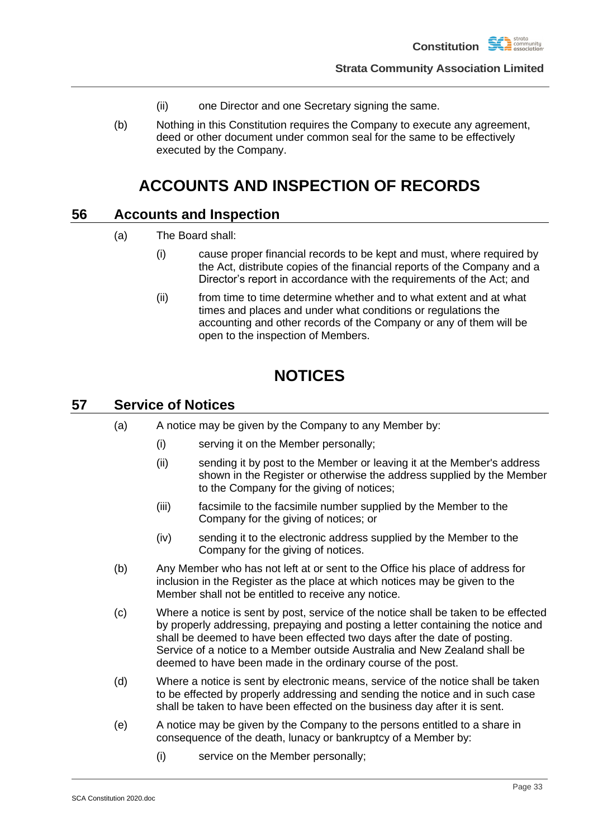

- (ii) one Director and one Secretary signing the same.
- (b) Nothing in this Constitution requires the Company to execute any agreement, deed or other document under common seal for the same to be effectively executed by the Company.

## **ACCOUNTS AND INSPECTION OF RECORDS**

## <span id="page-36-1"></span><span id="page-36-0"></span>**56 Accounts and Inspection**

- (a) The Board shall:
	- (i) cause proper financial records to be kept and must, where required by the Act, distribute copies of the financial reports of the Company and a Director's report in accordance with the requirements of the Act; and
	- (ii) from time to time determine whether and to what extent and at what times and places and under what conditions or regulations the accounting and other records of the Company or any of them will be open to the inspection of Members.

## **NOTICES**

## <span id="page-36-3"></span><span id="page-36-2"></span>**57 Service of Notices**

- (a) A notice may be given by the Company to any Member by:
	- (i) serving it on the Member personally;
	- (ii) sending it by post to the Member or leaving it at the Member's address shown in the Register or otherwise the address supplied by the Member to the Company for the giving of notices;
	- (iii) facsimile to the facsimile number supplied by the Member to the Company for the giving of notices; or
	- (iv) sending it to the electronic address supplied by the Member to the Company for the giving of notices.
- <span id="page-36-4"></span>(b) Any Member who has not left at or sent to the Office his place of address for inclusion in the Register as the place at which notices may be given to the Member shall not be entitled to receive any notice.
- (c) Where a notice is sent by post, service of the notice shall be taken to be effected by properly addressing, prepaying and posting a letter containing the notice and shall be deemed to have been effected two days after the date of posting. Service of a notice to a Member outside Australia and New Zealand shall be deemed to have been made in the ordinary course of the post.
- (d) Where a notice is sent by electronic means, service of the notice shall be taken to be effected by properly addressing and sending the notice and in such case shall be taken to have been effected on the business day after it is sent.
- (e) A notice may be given by the Company to the persons entitled to a share in consequence of the death, lunacy or bankruptcy of a Member by:
	- (i) service on the Member personally;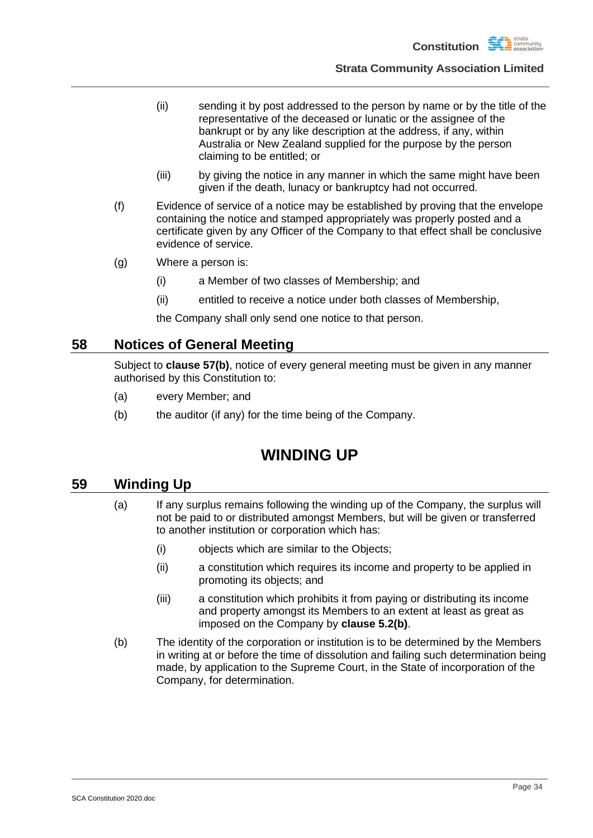

- (ii) sending it by post addressed to the person by name or by the title of the representative of the deceased or lunatic or the assignee of the bankrupt or by any like description at the address, if any, within Australia or New Zealand supplied for the purpose by the person claiming to be entitled; or
- (iii) by giving the notice in any manner in which the same might have been given if the death, lunacy or bankruptcy had not occurred.
- (f) Evidence of service of a notice may be established by proving that the envelope containing the notice and stamped appropriately was properly posted and a certificate given by any Officer of the Company to that effect shall be conclusive evidence of service.
- (g) Where a person is:
	- (i) a Member of two classes of Membership; and
	- (ii) entitled to receive a notice under both classes of Membership,

the Company shall only send one notice to that person.

### <span id="page-37-0"></span>**58 Notices of General Meeting**

Subject to **clause [57\(b\)](#page-36-4)**, notice of every general meeting must be given in any manner authorised by this Constitution to:

- (a) every Member; and
- (b) the auditor (if any) for the time being of the Company.

## **WINDING UP**

### <span id="page-37-1"></span>**59 Winding Up**

- (a) If any surplus remains following the winding up of the Company, the surplus will not be paid to or distributed amongst Members, but will be given or transferred to another institution or corporation which has:
	- (i) objects which are similar to the Objects;
	- (ii) a constitution which requires its income and property to be applied in promoting its objects; and
	- (iii) a constitution which prohibits it from paying or distributing its income and property amongst its Members to an extent at least as great as imposed on the Company by **clause [5.2\(b\)](#page-9-9)**.
- <span id="page-37-2"></span>(b) The identity of the corporation or institution is to be determined by the Members in writing at or before the time of dissolution and failing such determination being made, by application to the Supreme Court, in the State of incorporation of the Company, for determination.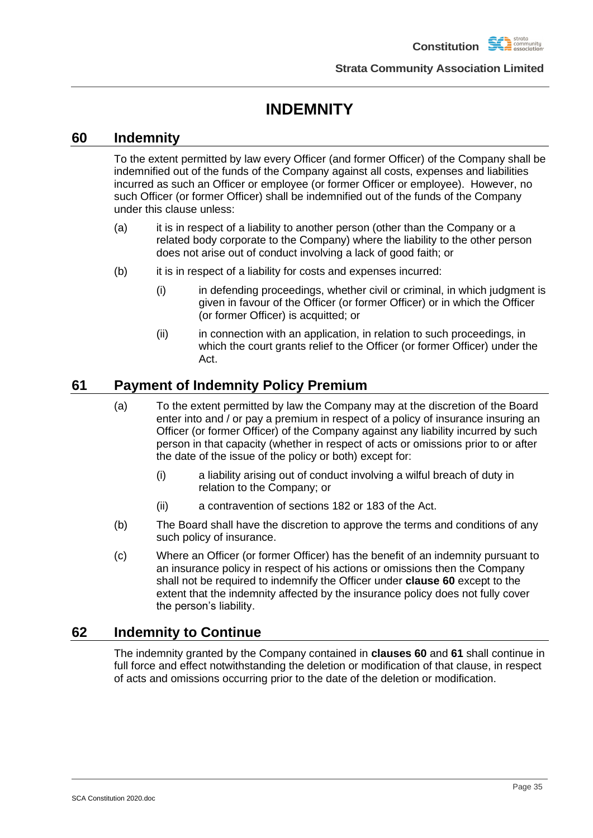**Constitution** 

**Strata Community Association Limited**

## **INDEMNITY**

## <span id="page-38-0"></span>**60 Indemnity**

To the extent permitted by law every Officer (and former Officer) of the Company shall be indemnified out of the funds of the Company against all costs, expenses and liabilities incurred as such an Officer or employee (or former Officer or employee). However, no such Officer (or former Officer) shall be indemnified out of the funds of the Company under this clause unless:

- (a) it is in respect of a liability to another person (other than the Company or a related body corporate to the Company) where the liability to the other person does not arise out of conduct involving a lack of good faith; or
- (b) it is in respect of a liability for costs and expenses incurred:
	- (i) in defending proceedings, whether civil or criminal, in which judgment is given in favour of the Officer (or former Officer) or in which the Officer (or former Officer) is acquitted; or
	- (ii) in connection with an application, in relation to such proceedings, in which the court grants relief to the Officer (or former Officer) under the Act.

## <span id="page-38-1"></span>**61 Payment of Indemnity Policy Premium**

- (a) To the extent permitted by law the Company may at the discretion of the Board enter into and / or pay a premium in respect of a policy of insurance insuring an Officer (or former Officer) of the Company against any liability incurred by such person in that capacity (whether in respect of acts or omissions prior to or after the date of the issue of the policy or both) except for:
	- (i) a liability arising out of conduct involving a wilful breach of duty in relation to the Company; or
	- (ii) a contravention of sections 182 or 183 of the Act.
- (b) The Board shall have the discretion to approve the terms and conditions of any such policy of insurance.
- (c) Where an Officer (or former Officer) has the benefit of an indemnity pursuant to an insurance policy in respect of his actions or omissions then the Company shall not be required to indemnify the Officer under **clause [60](#page-38-0)** except to the extent that the indemnity affected by the insurance policy does not fully cover the person's liability.

## <span id="page-38-2"></span>**62 Indemnity to Continue**

The indemnity granted by the Company contained in **clauses [60](#page-38-0)** and **[61](#page-38-1)** shall continue in full force and effect notwithstanding the deletion or modification of that clause, in respect of acts and omissions occurring prior to the date of the deletion or modification.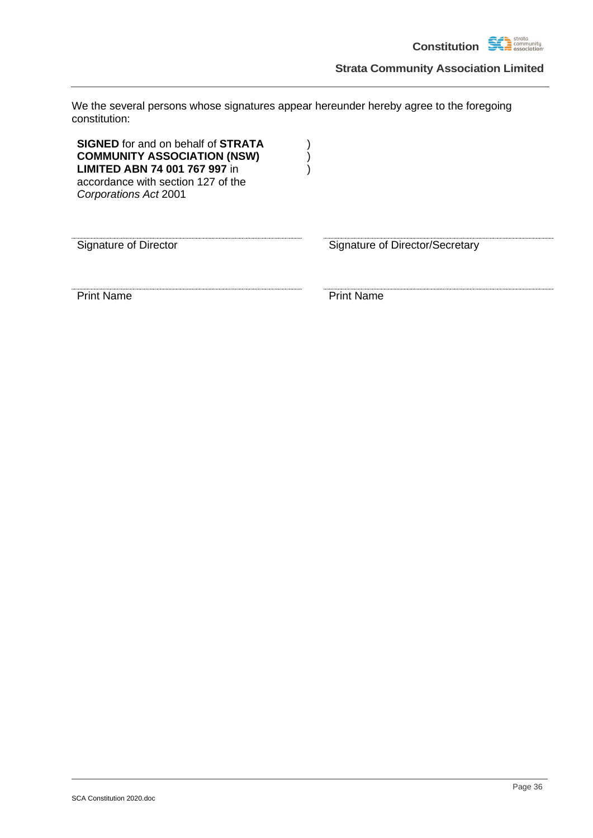

We the several persons whose signatures appear hereunder hereby agree to the foregoing constitution:

| <b>SIGNED</b> for and on behalf of <b>STRATA</b><br><b>COMMUNITY ASSOCIATION (NSW)</b><br><b>LIMITED ABN 74 001 767 997 in</b><br>accordance with section 127 of the<br>Corporations Act 2001 |                                 |
|-----------------------------------------------------------------------------------------------------------------------------------------------------------------------------------------------|---------------------------------|
| <b>Signature of Director</b>                                                                                                                                                                  | Signature of Director/Secretary |
| <b>Print Name</b>                                                                                                                                                                             | <b>Print Name</b>               |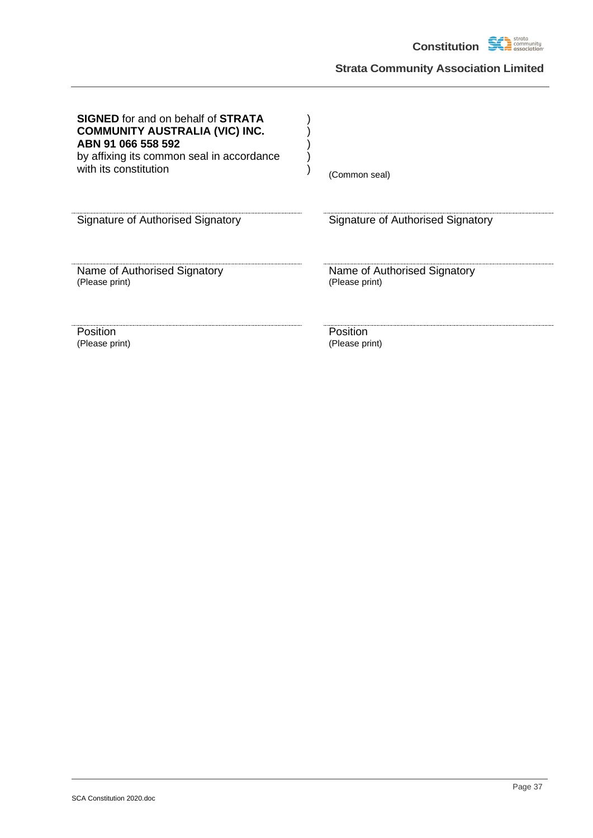

| <b>SIGNED</b> for and on behalf of <b>STRATA</b><br><b>COMMUNITY AUSTRALIA (VIC) INC.</b><br>ABN 91 066 558 592<br>by affixing its common seal in accordance<br>with its constitution | (Common seal)                     |
|---------------------------------------------------------------------------------------------------------------------------------------------------------------------------------------|-----------------------------------|
| Signature of Authorised Signatory                                                                                                                                                     | Signature of Authorised Signatory |
| Name of Authorised Signatory                                                                                                                                                          | Name of Authorised Signatory      |
| (Please print)                                                                                                                                                                        | (Please print)                    |
| Position                                                                                                                                                                              | Position                          |
| (Please print)                                                                                                                                                                        | (Please print)                    |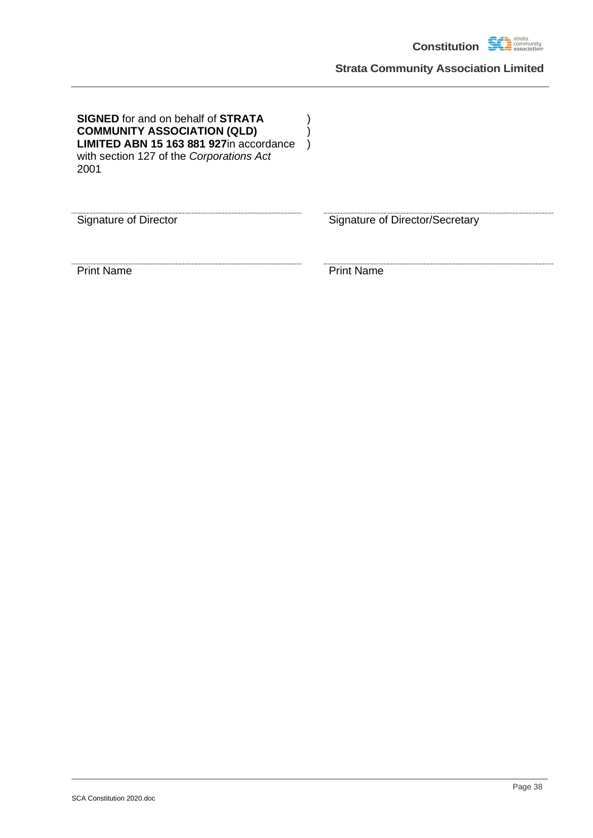

| <b>SIGNED</b> for and on behalf of <b>STRATA</b><br><b>COMMUNITY ASSOCIATION (QLD)</b><br>LIMITED ABN 15 163 881 927in accordance<br>with section 127 of the Corporations Act<br>2001 |                                 |
|---------------------------------------------------------------------------------------------------------------------------------------------------------------------------------------|---------------------------------|
| Signature of Director                                                                                                                                                                 | Signature of Director/Secretary |
| <b>Print Name</b>                                                                                                                                                                     | <b>Print Name</b>               |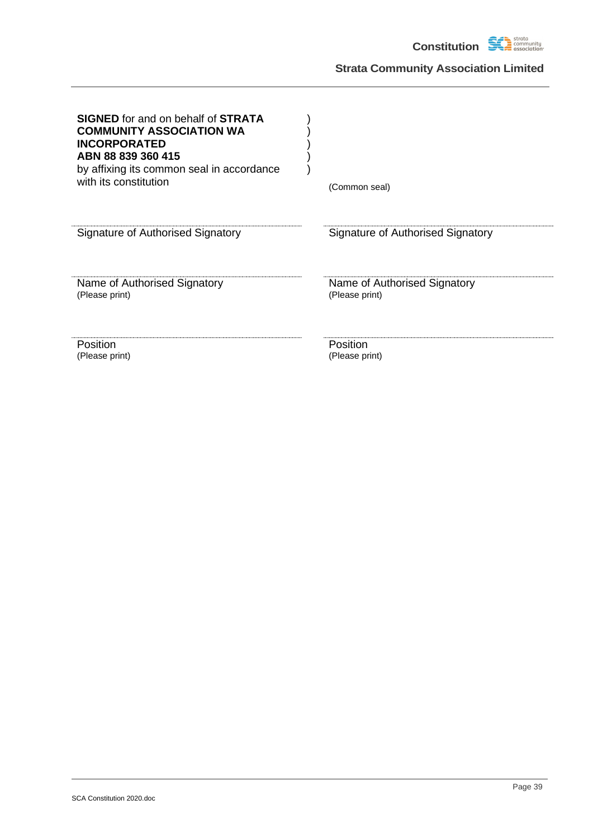

| <b>SIGNED</b> for and on behalf of <b>STRATA</b><br><b>COMMUNITY ASSOCIATION WA</b><br><b>INCORPORATED</b><br>ABN 88 839 360 415<br>by affixing its common seal in accordance<br>with its constitution | (Common seal)                     |
|--------------------------------------------------------------------------------------------------------------------------------------------------------------------------------------------------------|-----------------------------------|
| <b>Signature of Authorised Signatory</b>                                                                                                                                                               | Signature of Authorised Signatory |
| Name of Authorised Signatory                                                                                                                                                                           | Name of Authorised Signatory      |
| (Please print)                                                                                                                                                                                         | (Please print)                    |
| Position                                                                                                                                                                                               | Position                          |
| (Please print)                                                                                                                                                                                         | (Please print)                    |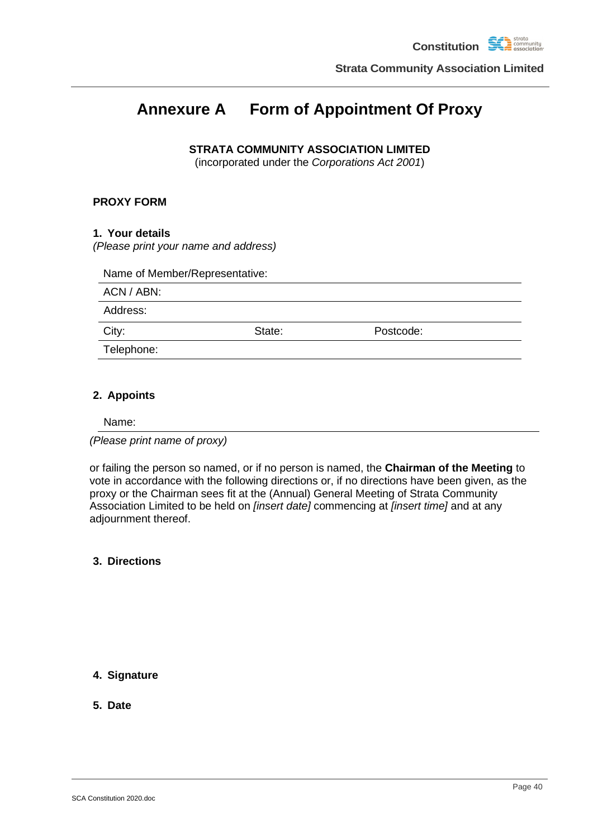## <span id="page-43-0"></span>**Annexure A Form of Appointment Of Proxy**

### **STRATA COMMUNITY ASSOCIATION LIMITED**

(incorporated under the *Corporations Act 2001*)

### **PROXY FORM**

### **1. Your details**

*(Please print your name and address)*

| ACN / ABN: |        |           |  |
|------------|--------|-----------|--|
| Address:   |        |           |  |
| City:      | State: | Postcode: |  |
| Telephone: |        |           |  |

### **2. Appoints**

Name:

*(Please print name of proxy)*

or failing the person so named, or if no person is named, the **Chairman of the Meeting** to vote in accordance with the following directions or, if no directions have been given, as the proxy or the Chairman sees fit at the (Annual) General Meeting of Strata Community Association Limited to be held on *[insert date]* commencing at *[insert time]* and at any adjournment thereof.

**3. Directions**

### **4. Signature**

**5. Date**